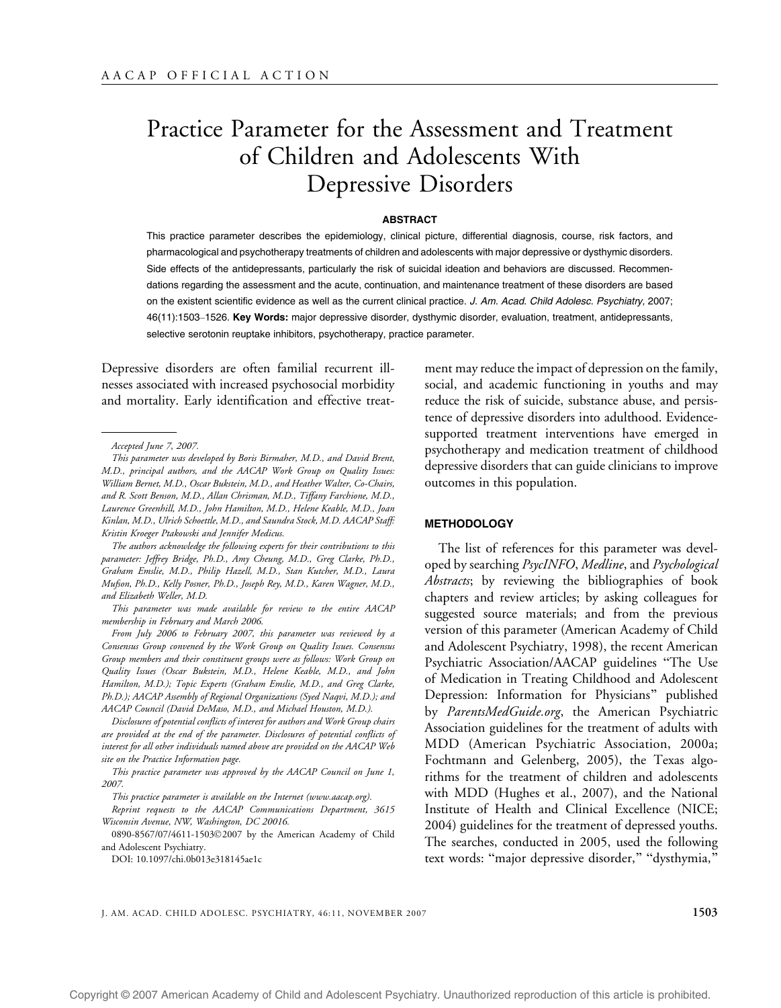# Practice Parameter for the Assessment and Treatment of Children and Adolescents With Depressive Disorders

### ABSTRACT

This practice parameter describes the epidemiology, clinical picture, differential diagnosis, course, risk factors, and pharmacological and psychotherapy treatments of children and adolescents with major depressive or dysthymic disorders. Side effects of the antidepressants, particularly the risk of suicidal ideation and behaviors are discussed. Recommendations regarding the assessment and the acute, continuation, and maintenance treatment of these disorders are based on the existent scientific evidence as well as the current clinical practice. J. Am. Acad. Child Adolesc. Psychiatry, 2007; 46(11):1503-1526. Key Words: major depressive disorder, dysthymic disorder, evaluation, treatment, antidepressants, selective serotonin reuptake inhibitors, psychotherapy, practice parameter.

Depressive disorders are often familial recurrent illnesses associated with increased psychosocial morbidity and mortality. Early identification and effective treat-

The authors acknowledge the following experts for their contributions to this parameter: Jeffrey Bridge, Ph.D., Amy Cheung, M.D., Greg Clarke, Ph.D., Graham Emslie, M.D., Philip Hazell, M.D., Stan Kutcher, M.D., Laura Mufson, Ph.D., Kelly Posner, Ph.D., Joseph Rey, M.D., Karen Wagner, M.D., and Elizabeth Weller, M.D.

From July 2006 to February 2007, this parameter was reviewed by a Consensus Group convened by the Work Group on Quality Issues. Consensus Group members and their constituent groups were as follows: Work Group on Quality Issues (Oscar Bukstein, M.D., Helene Keable, M.D., and John Hamilton, M.D.); Topic Experts (Graham Emslie, M.D., and Greg Clarke, Ph.D.); AACAP Assembly of Regional Organizations (Syed Naqvi, M.D.); and AACAP Council (David DeMaso, M.D., and Michael Houston, M.D.).

Disclosures of potential conflicts of interest for authors and Work Group chairs are provided at the end of the parameter. Disclosures of potential conflicts of interest for all other individuals named above are provided on the AACAP Web site on the Practice Information page.

This practice parameter was approved by the AACAP Council on June 1, 2007.

This practice parameter is available on the Internet (www.aacap.org).

Reprint requests to the AACAP Communications Department, 3615 Wisconsin Avenue, NW, Washington, DC 20016.

0890-8567/07/4611-15032007 by the American Academy of Child and Adolescent Psychiatry.

DOI: 10.1097/chi.0b013e318145ae1c

ment may reduce the impact of depression on the family, social, and academic functioning in youths and may reduce the risk of suicide, substance abuse, and persistence of depressive disorders into adulthood. Evidencesupported treatment interventions have emerged in psychotherapy and medication treatment of childhood depressive disorders that can guide clinicians to improve outcomes in this population.

#### **METHODOLOGY**

The list of references for this parameter was developed by searching PsycINFO, Medline, and Psychological Abstracts; by reviewing the bibliographies of book chapters and review articles; by asking colleagues for suggested source materials; and from the previous version of this parameter (American Academy of Child and Adolescent Psychiatry, 1998), the recent American Psychiatric Association/AACAP guidelines "The Use of Medication in Treating Childhood and Adolescent Depression: Information for Physicians" published by ParentsMedGuide.org, the American Psychiatric Association guidelines for the treatment of adults with MDD (American Psychiatric Association, 2000a; Fochtmann and Gelenberg, 2005), the Texas algorithms for the treatment of children and adolescents with MDD (Hughes et al., 2007), and the National Institute of Health and Clinical Excellence (NICE; 2004) guidelines for the treatment of depressed youths. The searches, conducted in 2005, used the following text words: "major depressive disorder," "dysthymia,"

 $J.$  AM. ACAD. CHILD ADOLESC. PSYCHIATRY,  $46:11$ , NOVEMBER 2007 1503

Accepted June 7, 2007.

This parameter was developed by Boris Birmaher, M.D., and David Brent, M.D., principal authors, and the AACAP Work Group on Quality Issues: William Bernet, M.D., Oscar Bukstein, M.D., and Heather Walter, Co-Chairs, and R. Scott Benson, M.D., Allan Chrisman, M.D., Tiffany Farchione, M.D., Laurence Greenhill, M.D., John Hamilton, M.D., Helene Keable, M.D., Joan Kinlan, M.D., Ulrich Schoettle, M.D., and Saundra Stock, M.D. AACAP Staff: Kristin Kroeger Ptakowski and Jennifer Medicus.

This parameter was made available for review to the entire AACAP membership in February and March 2006.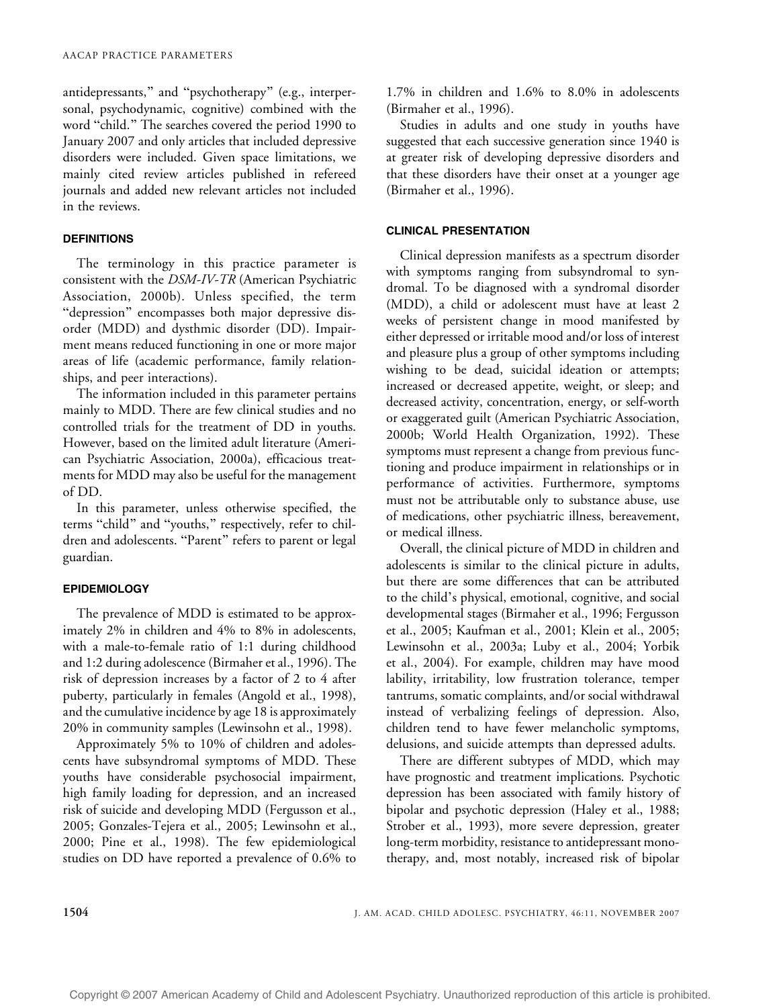antidepressants," and "psychotherapy" (e.g., interpersonal, psychodynamic, cognitive) combined with the word "child." The searches covered the period 1990 to January 2007 and only articles that included depressive disorders were included. Given space limitations, we mainly cited review articles published in refereed journals and added new relevant articles not included in the reviews.

## **DEFINITIONS**

The terminology in this practice parameter is consistent with the DSM-IV-TR (American Psychiatric Association, 2000b). Unless specified, the term "depression" encompasses both major depressive disorder (MDD) and dysthmic disorder (DD). Impairment means reduced functioning in one or more major areas of life (academic performance, family relationships, and peer interactions).

The information included in this parameter pertains mainly to MDD. There are few clinical studies and no controlled trials for the treatment of DD in youths. However, based on the limited adult literature (American Psychiatric Association, 2000a), efficacious treatments for MDD may also be useful for the management of DD.

In this parameter, unless otherwise specified, the terms "child" and "youths," respectively, refer to children and adolescents. "Parent" refers to parent or legal guardian.

### **EPIDEMIOLOGY**

The prevalence of MDD is estimated to be approximately 2% in children and 4% to 8% in adolescents, with a male-to-female ratio of 1:1 during childhood and 1:2 during adolescence (Birmaher et al., 1996). The risk of depression increases by a factor of 2 to 4 after puberty, particularly in females (Angold et al., 1998), and the cumulative incidence by age 18 is approximately 20% in community samples (Lewinsohn et al., 1998).

Approximately 5% to 10% of children and adolescents have subsyndromal symptoms of MDD. These youths have considerable psychosocial impairment, high family loading for depression, and an increased risk of suicide and developing MDD (Fergusson et al., 2005; Gonzales-Tejera et al., 2005; Lewinsohn et al., 2000; Pine et al., 1998). The few epidemiological studies on DD have reported a prevalence of 0.6% to

1.7% in children and 1.6% to 8.0% in adolescents (Birmaher et al., 1996).

Studies in adults and one study in youths have suggested that each successive generation since 1940 is at greater risk of developing depressive disorders and that these disorders have their onset at a younger age (Birmaher et al., 1996).

## CLINICAL PRESENTATION

Clinical depression manifests as a spectrum disorder with symptoms ranging from subsyndromal to syndromal. To be diagnosed with a syndromal disorder (MDD), a child or adolescent must have at least 2 weeks of persistent change in mood manifested by either depressed or irritable mood and/or loss of interest and pleasure plus a group of other symptoms including wishing to be dead, suicidal ideation or attempts; increased or decreased appetite, weight, or sleep; and decreased activity, concentration, energy, or self-worth or exaggerated guilt (American Psychiatric Association, 2000b; World Health Organization, 1992). These symptoms must represent a change from previous functioning and produce impairment in relationships or in performance of activities. Furthermore, symptoms must not be attributable only to substance abuse, use of medications, other psychiatric illness, bereavement, or medical illness.

Overall, the clinical picture of MDD in children and adolescents is similar to the clinical picture in adults, but there are some differences that can be attributed to the child's physical, emotional, cognitive, and social developmental stages (Birmaher et al., 1996; Fergusson et al., 2005; Kaufman et al., 2001; Klein et al., 2005; Lewinsohn et al., 2003a; Luby et al., 2004; Yorbik et al., 2004). For example, children may have mood lability, irritability, low frustration tolerance, temper tantrums, somatic complaints, and/or social withdrawal instead of verbalizing feelings of depression. Also, children tend to have fewer melancholic symptoms, delusions, and suicide attempts than depressed adults.

There are different subtypes of MDD, which may have prognostic and treatment implications. Psychotic depression has been associated with family history of bipolar and psychotic depression (Haley et al., 1988; Strober et al., 1993), more severe depression, greater long-term morbidity, resistance to antidepressant monotherapy, and, most notably, increased risk of bipolar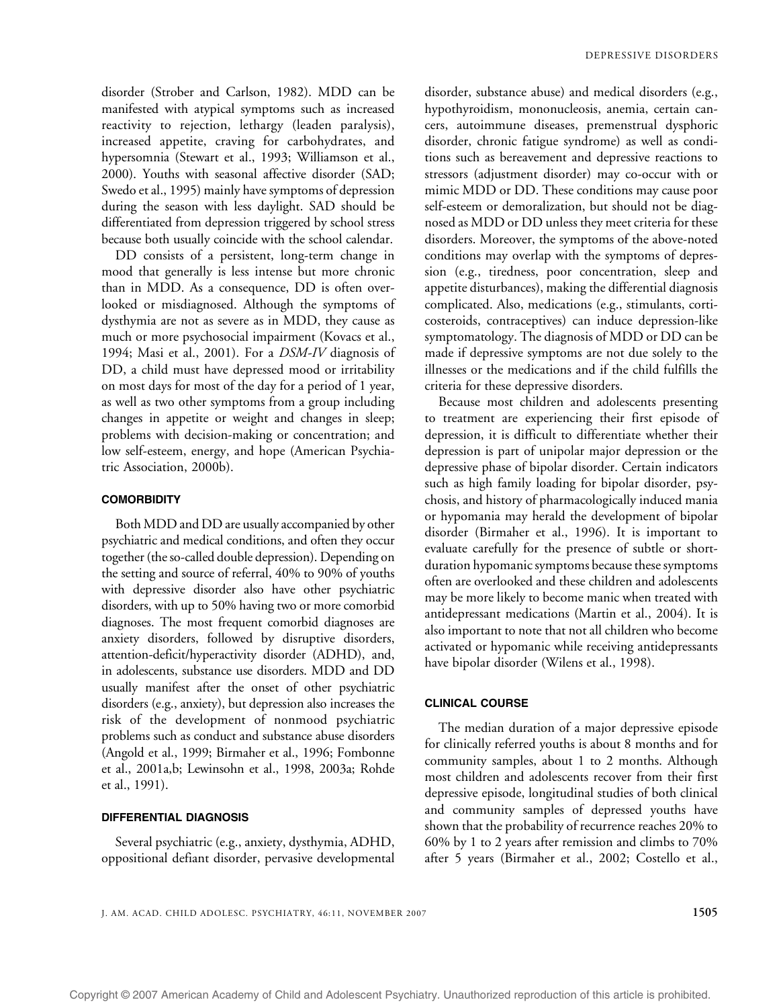disorder (Strober and Carlson, 1982). MDD can be manifested with atypical symptoms such as increased reactivity to rejection, lethargy (leaden paralysis), increased appetite, craving for carbohydrates, and hypersomnia (Stewart et al., 1993; Williamson et al., 2000). Youths with seasonal affective disorder (SAD; Swedo et al., 1995) mainly have symptoms of depression during the season with less daylight. SAD should be differentiated from depression triggered by school stress because both usually coincide with the school calendar.

DD consists of a persistent, long-term change in mood that generally is less intense but more chronic than in MDD. As a consequence, DD is often overlooked or misdiagnosed. Although the symptoms of dysthymia are not as severe as in MDD, they cause as much or more psychosocial impairment (Kovacs et al., 1994; Masi et al., 2001). For a DSM-IV diagnosis of DD, a child must have depressed mood or irritability on most days for most of the day for a period of 1 year, as well as two other symptoms from a group including changes in appetite or weight and changes in sleep; problems with decision-making or concentration; and low self-esteem, energy, and hope (American Psychiatric Association, 2000b).

## **COMORBIDITY**

Both MDD and DD are usually accompanied by other psychiatric and medical conditions, and often they occur together (the so-called double depression). Depending on the setting and source of referral, 40% to 90% of youths with depressive disorder also have other psychiatric disorders, with up to 50% having two or more comorbid diagnoses. The most frequent comorbid diagnoses are anxiety disorders, followed by disruptive disorders, attention-deficit/hyperactivity disorder (ADHD), and, in adolescents, substance use disorders. MDD and DD usually manifest after the onset of other psychiatric disorders (e.g., anxiety), but depression also increases the risk of the development of nonmood psychiatric problems such as conduct and substance abuse disorders (Angold et al., 1999; Birmaher et al., 1996; Fombonne et al., 2001a,b; Lewinsohn et al., 1998, 2003a; Rohde et al., 1991).

#### DIFFERENTIAL DIAGNOSIS

Several psychiatric (e.g., anxiety, dysthymia, ADHD, oppositional defiant disorder, pervasive developmental disorder, substance abuse) and medical disorders (e.g., hypothyroidism, mononucleosis, anemia, certain cancers, autoimmune diseases, premenstrual dysphoric disorder, chronic fatigue syndrome) as well as conditions such as bereavement and depressive reactions to stressors (adjustment disorder) may co-occur with or mimic MDD or DD. These conditions may cause poor self-esteem or demoralization, but should not be diagnosed as MDD or DD unless they meet criteria for these disorders. Moreover, the symptoms of the above-noted conditions may overlap with the symptoms of depression (e.g., tiredness, poor concentration, sleep and appetite disturbances), making the differential diagnosis complicated. Also, medications (e.g., stimulants, corticosteroids, contraceptives) can induce depression-like symptomatology. The diagnosis of MDD or DD can be made if depressive symptoms are not due solely to the illnesses or the medications and if the child fulfills the criteria for these depressive disorders.

Because most children and adolescents presenting to treatment are experiencing their first episode of depression, it is difficult to differentiate whether their depression is part of unipolar major depression or the depressive phase of bipolar disorder. Certain indicators such as high family loading for bipolar disorder, psychosis, and history of pharmacologically induced mania or hypomania may herald the development of bipolar disorder (Birmaher et al., 1996). It is important to evaluate carefully for the presence of subtle or shortduration hypomanic symptoms because these symptoms often are overlooked and these children and adolescents may be more likely to become manic when treated with antidepressant medications (Martin et al., 2004). It is also important to note that not all children who become activated or hypomanic while receiving antidepressants have bipolar disorder (Wilens et al., 1998).

## CLINICAL COURSE

The median duration of a major depressive episode for clinically referred youths is about 8 months and for community samples, about 1 to 2 months. Although most children and adolescents recover from their first depressive episode, longitudinal studies of both clinical and community samples of depressed youths have shown that the probability of recurrence reaches 20% to 60% by 1 to 2 years after remission and climbs to 70% after 5 years (Birmaher et al., 2002; Costello et al.,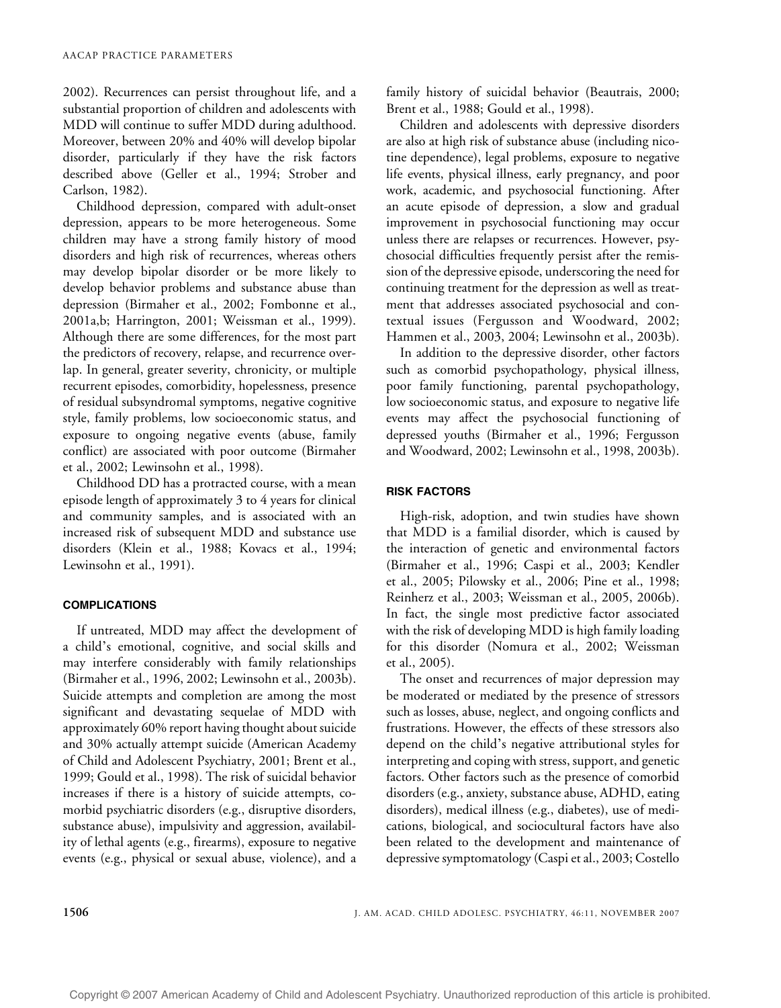2002). Recurrences can persist throughout life, and a substantial proportion of children and adolescents with MDD will continue to suffer MDD during adulthood. Moreover, between 20% and 40% will develop bipolar disorder, particularly if they have the risk factors described above (Geller et al., 1994; Strober and Carlson, 1982).

Childhood depression, compared with adult-onset depression, appears to be more heterogeneous. Some children may have a strong family history of mood disorders and high risk of recurrences, whereas others may develop bipolar disorder or be more likely to develop behavior problems and substance abuse than depression (Birmaher et al., 2002; Fombonne et al., 2001a,b; Harrington, 2001; Weissman et al., 1999). Although there are some differences, for the most part the predictors of recovery, relapse, and recurrence overlap. In general, greater severity, chronicity, or multiple recurrent episodes, comorbidity, hopelessness, presence of residual subsyndromal symptoms, negative cognitive style, family problems, low socioeconomic status, and exposure to ongoing negative events (abuse, family conflict) are associated with poor outcome (Birmaher et al., 2002; Lewinsohn et al., 1998).

Childhood DD has a protracted course, with a mean episode length of approximately 3 to 4 years for clinical and community samples, and is associated with an increased risk of subsequent MDD and substance use disorders (Klein et al., 1988; Kovacs et al., 1994; Lewinsohn et al., 1991).

#### **COMPLICATIONS**

If untreated, MDD may affect the development of a child's emotional, cognitive, and social skills and may interfere considerably with family relationships (Birmaher et al., 1996, 2002; Lewinsohn et al., 2003b). Suicide attempts and completion are among the most significant and devastating sequelae of MDD with approximately 60% report having thought about suicide and 30% actually attempt suicide (American Academy of Child and Adolescent Psychiatry, 2001; Brent et al., 1999; Gould et al., 1998). The risk of suicidal behavior increases if there is a history of suicide attempts, comorbid psychiatric disorders (e.g., disruptive disorders, substance abuse), impulsivity and aggression, availability of lethal agents (e.g., firearms), exposure to negative events (e.g., physical or sexual abuse, violence), and a family history of suicidal behavior (Beautrais, 2000; Brent et al., 1988; Gould et al., 1998).

Children and adolescents with depressive disorders are also at high risk of substance abuse (including nicotine dependence), legal problems, exposure to negative life events, physical illness, early pregnancy, and poor work, academic, and psychosocial functioning. After an acute episode of depression, a slow and gradual improvement in psychosocial functioning may occur unless there are relapses or recurrences. However, psychosocial difficulties frequently persist after the remission of the depressive episode, underscoring the need for continuing treatment for the depression as well as treatment that addresses associated psychosocial and contextual issues (Fergusson and Woodward, 2002; Hammen et al., 2003, 2004; Lewinsohn et al., 2003b).

In addition to the depressive disorder, other factors such as comorbid psychopathology, physical illness, poor family functioning, parental psychopathology, low socioeconomic status, and exposure to negative life events may affect the psychosocial functioning of depressed youths (Birmaher et al., 1996; Fergusson and Woodward, 2002; Lewinsohn et al., 1998, 2003b).

#### RISK FACTORS

High-risk, adoption, and twin studies have shown that MDD is a familial disorder, which is caused by the interaction of genetic and environmental factors (Birmaher et al., 1996; Caspi et al., 2003; Kendler et al., 2005; Pilowsky et al., 2006; Pine et al., 1998; Reinherz et al., 2003; Weissman et al., 2005, 2006b). In fact, the single most predictive factor associated with the risk of developing MDD is high family loading for this disorder (Nomura et al., 2002; Weissman et al., 2005).

The onset and recurrences of major depression may be moderated or mediated by the presence of stressors such as losses, abuse, neglect, and ongoing conflicts and frustrations. However, the effects of these stressors also depend on the child's negative attributional styles for interpreting and coping with stress, support, and genetic factors. Other factors such as the presence of comorbid disorders (e.g., anxiety, substance abuse, ADHD, eating disorders), medical illness (e.g., diabetes), use of medications, biological, and sociocultural factors have also been related to the development and maintenance of depressive symptomatology (Caspi et al., 2003; Costello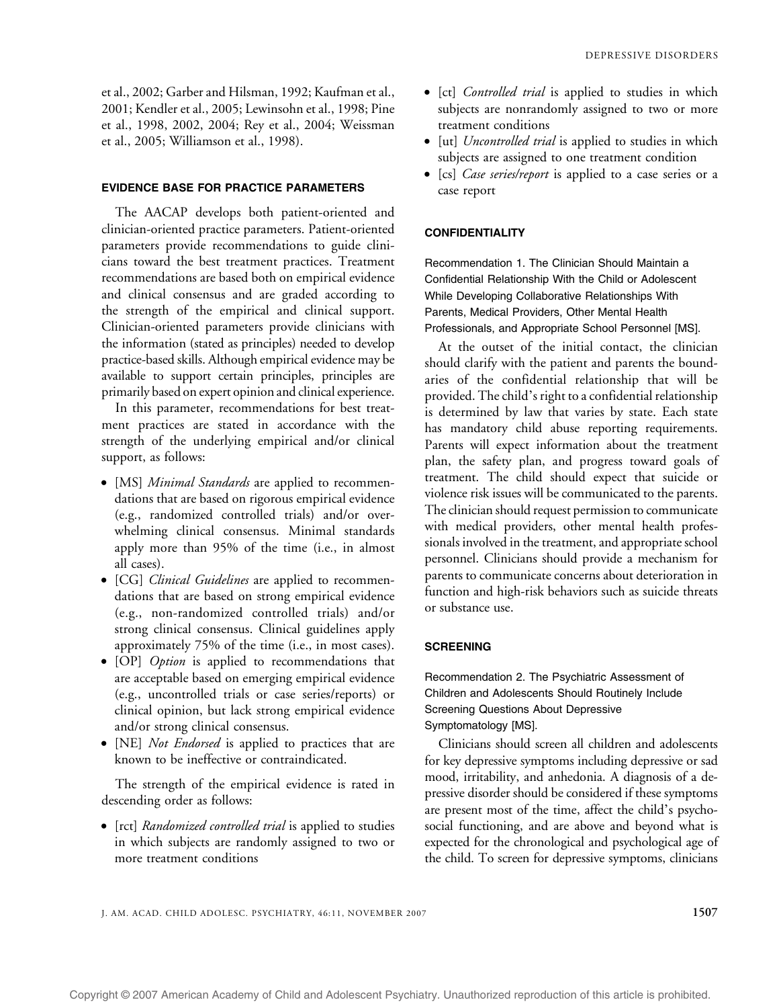et al., 2002; Garber and Hilsman, 1992; Kaufman et al., 2001; Kendler et al., 2005; Lewinsohn et al., 1998; Pine et al., 1998, 2002, 2004; Rey et al., 2004; Weissman et al., 2005; Williamson et al., 1998).

## EVIDENCE BASE FOR PRACTICE PARAMETERS

The AACAP develops both patient-oriented and clinician-oriented practice parameters. Patient-oriented parameters provide recommendations to guide clinicians toward the best treatment practices. Treatment recommendations are based both on empirical evidence and clinical consensus and are graded according to the strength of the empirical and clinical support. Clinician-oriented parameters provide clinicians with the information (stated as principles) needed to develop practice-based skills. Although empirical evidence may be available to support certain principles, principles are primarily based on expert opinion and clinical experience.

In this parameter, recommendations for best treatment practices are stated in accordance with the strength of the underlying empirical and/or clinical support, as follows:

- [MS] *Minimal Standards* are applied to recommendations that are based on rigorous empirical evidence (e.g., randomized controlled trials) and/or overwhelming clinical consensus. Minimal standards apply more than 95% of the time (i.e., in almost all cases).
- [CG] *Clinical Guidelines* are applied to recommendations that are based on strong empirical evidence (e.g., non-randomized controlled trials) and/or strong clinical consensus. Clinical guidelines apply approximately 75% of the time (i.e., in most cases).
- [OP] *Option* is applied to recommendations that are acceptable based on emerging empirical evidence (e.g., uncontrolled trials or case series/reports) or clinical opinion, but lack strong empirical evidence and/or strong clinical consensus.
- [NE] *Not Endorsed* is applied to practices that are known to be ineffective or contraindicated.

The strength of the empirical evidence is rated in descending order as follows:

• [rct] Randomized controlled trial is applied to studies in which subjects are randomly assigned to two or more treatment conditions

- [ct] Controlled trial is applied to studies in which subjects are nonrandomly assigned to two or more treatment conditions
- [ut] *Uncontrolled trial* is applied to studies in which subjects are assigned to one treatment condition
- [cs] *Case series/report* is applied to a case series or a case report

## **CONFIDENTIALITY**

Recommendation 1. The Clinician Should Maintain a Confidential Relationship With the Child or Adolescent While Developing Collaborative Relationships With Parents, Medical Providers, Other Mental Health Professionals, and Appropriate School Personnel [MS].

At the outset of the initial contact, the clinician should clarify with the patient and parents the boundaries of the confidential relationship that will be provided. The child's right to a confidential relationship is determined by law that varies by state. Each state has mandatory child abuse reporting requirements. Parents will expect information about the treatment plan, the safety plan, and progress toward goals of treatment. The child should expect that suicide or violence risk issues will be communicated to the parents. The clinician should request permission to communicate with medical providers, other mental health professionals involved in the treatment, and appropriate school personnel. Clinicians should provide a mechanism for parents to communicate concerns about deterioration in function and high-risk behaviors such as suicide threats or substance use.

## **SCREENING**

Recommendation 2. The Psychiatric Assessment of Children and Adolescents Should Routinely Include Screening Questions About Depressive Symptomatology [MS].

Clinicians should screen all children and adolescents for key depressive symptoms including depressive or sad mood, irritability, and anhedonia. A diagnosis of a depressive disorder should be considered if these symptoms are present most of the time, affect the child's psychosocial functioning, and are above and beyond what is expected for the chronological and psychological age of the child. To screen for depressive symptoms, clinicians

J. AM. ACAD. CHILD ADOLESC. PSYCHIATRY, 46:11, NOVEMBER 2007 1507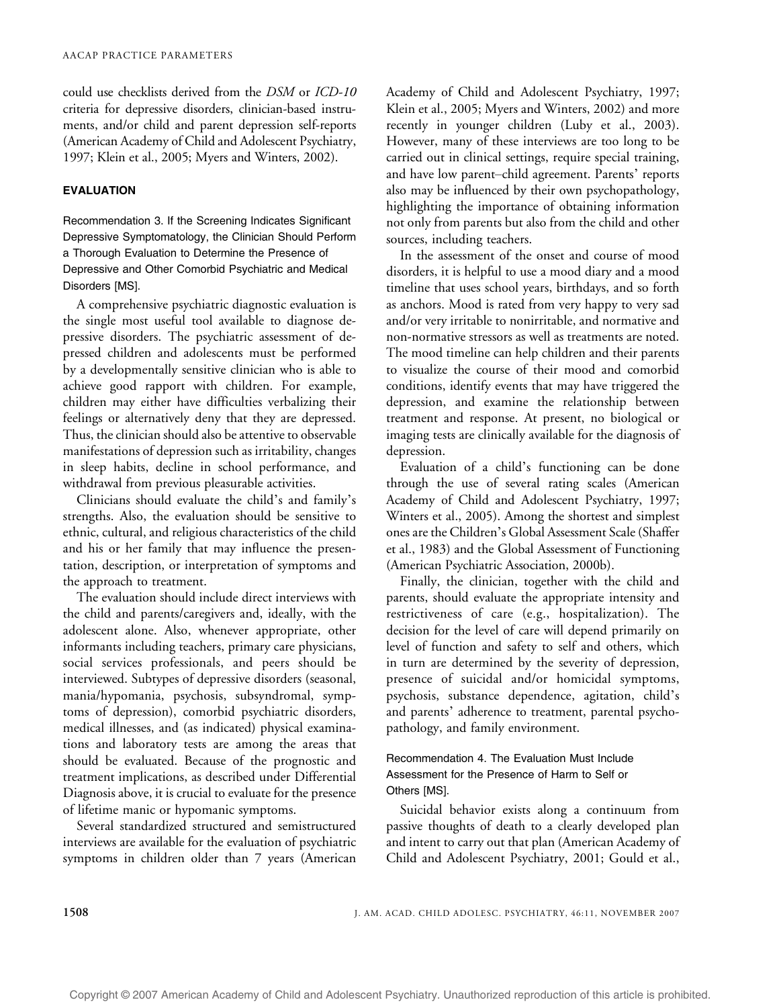could use checklists derived from the DSM or ICD-10 criteria for depressive disorders, clinician-based instruments, and/or child and parent depression self-reports (American Academy of Child and Adolescent Psychiatry, 1997; Klein et al., 2005; Myers and Winters, 2002).

## EVALUATION

Recommendation 3. If the Screening Indicates Significant Depressive Symptomatology, the Clinician Should Perform a Thorough Evaluation to Determine the Presence of Depressive and Other Comorbid Psychiatric and Medical Disorders [MS].

A comprehensive psychiatric diagnostic evaluation is the single most useful tool available to diagnose depressive disorders. The psychiatric assessment of depressed children and adolescents must be performed by a developmentally sensitive clinician who is able to achieve good rapport with children. For example, children may either have difficulties verbalizing their feelings or alternatively deny that they are depressed. Thus, the clinician should also be attentive to observable manifestations of depression such as irritability, changes in sleep habits, decline in school performance, and withdrawal from previous pleasurable activities.

Clinicians should evaluate the child's and family's strengths. Also, the evaluation should be sensitive to ethnic, cultural, and religious characteristics of the child and his or her family that may influence the presentation, description, or interpretation of symptoms and the approach to treatment.

The evaluation should include direct interviews with the child and parents/caregivers and, ideally, with the adolescent alone. Also, whenever appropriate, other informants including teachers, primary care physicians, social services professionals, and peers should be interviewed. Subtypes of depressive disorders (seasonal, mania/hypomania, psychosis, subsyndromal, symptoms of depression), comorbid psychiatric disorders, medical illnesses, and (as indicated) physical examinations and laboratory tests are among the areas that should be evaluated. Because of the prognostic and treatment implications, as described under Differential Diagnosis above, it is crucial to evaluate for the presence of lifetime manic or hypomanic symptoms.

Several standardized structured and semistructured interviews are available for the evaluation of psychiatric symptoms in children older than 7 years (American

Academy of Child and Adolescent Psychiatry, 1997; Klein et al., 2005; Myers and Winters, 2002) and more recently in younger children (Luby et al., 2003). However, many of these interviews are too long to be carried out in clinical settings, require special training, and have low parent-child agreement. Parents' reports also may be influenced by their own psychopathology, highlighting the importance of obtaining information not only from parents but also from the child and other sources, including teachers.

In the assessment of the onset and course of mood disorders, it is helpful to use a mood diary and a mood timeline that uses school years, birthdays, and so forth as anchors. Mood is rated from very happy to very sad and/or very irritable to nonirritable, and normative and non-normative stressors as well as treatments are noted. The mood timeline can help children and their parents to visualize the course of their mood and comorbid conditions, identify events that may have triggered the depression, and examine the relationship between treatment and response. At present, no biological or imaging tests are clinically available for the diagnosis of depression.

Evaluation of a child's functioning can be done through the use of several rating scales (American Academy of Child and Adolescent Psychiatry, 1997; Winters et al., 2005). Among the shortest and simplest ones are the Children's Global Assessment Scale (Shaffer et al., 1983) and the Global Assessment of Functioning (American Psychiatric Association, 2000b).

Finally, the clinician, together with the child and parents, should evaluate the appropriate intensity and restrictiveness of care (e.g., hospitalization). The decision for the level of care will depend primarily on level of function and safety to self and others, which in turn are determined by the severity of depression, presence of suicidal and/or homicidal symptoms, psychosis, substance dependence, agitation, child's and parents' adherence to treatment, parental psychopathology, and family environment.

## Recommendation 4. The Evaluation Must Include Assessment for the Presence of Harm to Self or Others [MS].

Suicidal behavior exists along a continuum from passive thoughts of death to a clearly developed plan and intent to carry out that plan (American Academy of Child and Adolescent Psychiatry, 2001; Gould et al.,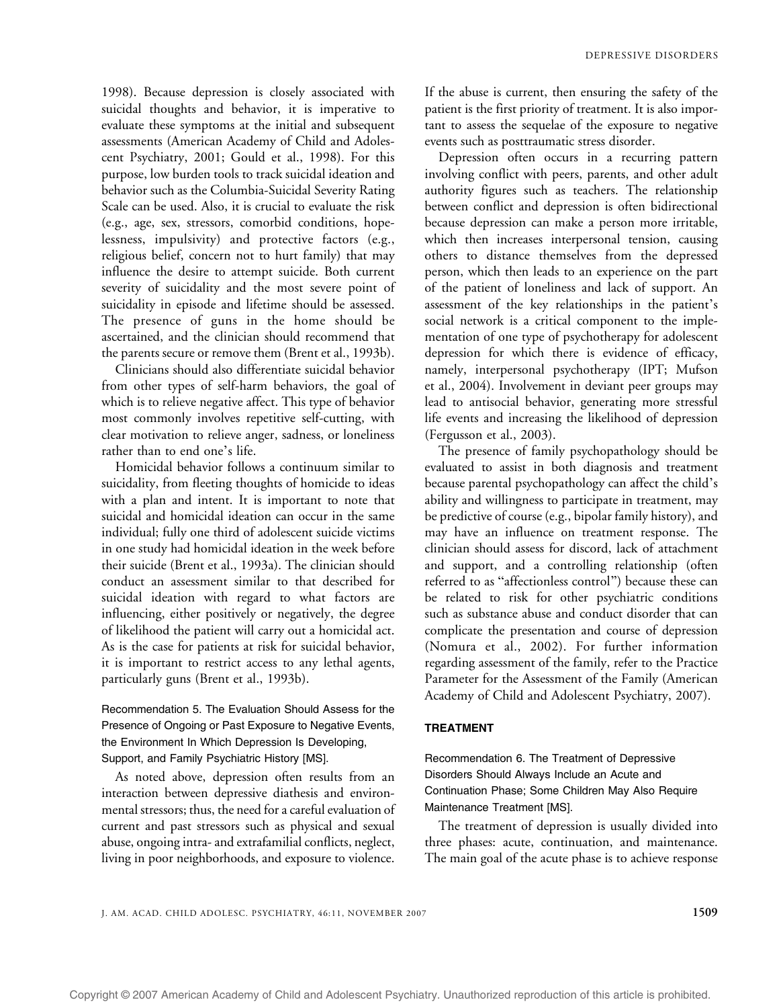1998). Because depression is closely associated with suicidal thoughts and behavior, it is imperative to evaluate these symptoms at the initial and subsequent assessments (American Academy of Child and Adolescent Psychiatry, 2001; Gould et al., 1998). For this purpose, low burden tools to track suicidal ideation and behavior such as the Columbia-Suicidal Severity Rating Scale can be used. Also, it is crucial to evaluate the risk (e.g., age, sex, stressors, comorbid conditions, hopelessness, impulsivity) and protective factors (e.g., religious belief, concern not to hurt family) that may influence the desire to attempt suicide. Both current severity of suicidality and the most severe point of suicidality in episode and lifetime should be assessed. The presence of guns in the home should be ascertained, and the clinician should recommend that the parents secure or remove them (Brent et al., 1993b).

Clinicians should also differentiate suicidal behavior from other types of self-harm behaviors, the goal of which is to relieve negative affect. This type of behavior most commonly involves repetitive self-cutting, with clear motivation to relieve anger, sadness, or loneliness rather than to end one's life.

Homicidal behavior follows a continuum similar to suicidality, from fleeting thoughts of homicide to ideas with a plan and intent. It is important to note that suicidal and homicidal ideation can occur in the same individual; fully one third of adolescent suicide victims in one study had homicidal ideation in the week before their suicide (Brent et al., 1993a). The clinician should conduct an assessment similar to that described for suicidal ideation with regard to what factors are influencing, either positively or negatively, the degree of likelihood the patient will carry out a homicidal act. As is the case for patients at risk for suicidal behavior, it is important to restrict access to any lethal agents, particularly guns (Brent et al., 1993b).

Recommendation 5. The Evaluation Should Assess for the Presence of Ongoing or Past Exposure to Negative Events, the Environment In Which Depression Is Developing, Support, and Family Psychiatric History [MS].

As noted above, depression often results from an interaction between depressive diathesis and environmental stressors; thus, the need for a careful evaluation of current and past stressors such as physical and sexual abuse, ongoing intra- and extrafamilial conflicts, neglect, living in poor neighborhoods, and exposure to violence. If the abuse is current, then ensuring the safety of the patient is the first priority of treatment. It is also important to assess the sequelae of the exposure to negative events such as posttraumatic stress disorder.

Depression often occurs in a recurring pattern involving conflict with peers, parents, and other adult authority figures such as teachers. The relationship between conflict and depression is often bidirectional because depression can make a person more irritable, which then increases interpersonal tension, causing others to distance themselves from the depressed person, which then leads to an experience on the part of the patient of loneliness and lack of support. An assessment of the key relationships in the patient's social network is a critical component to the implementation of one type of psychotherapy for adolescent depression for which there is evidence of efficacy, namely, interpersonal psychotherapy (IPT; Mufson et al., 2004). Involvement in deviant peer groups may lead to antisocial behavior, generating more stressful life events and increasing the likelihood of depression (Fergusson et al., 2003).

The presence of family psychopathology should be evaluated to assist in both diagnosis and treatment because parental psychopathology can affect the child's ability and willingness to participate in treatment, may be predictive of course (e.g., bipolar family history), and may have an influence on treatment response. The clinician should assess for discord, lack of attachment and support, and a controlling relationship (often referred to as "affectionless control") because these can be related to risk for other psychiatric conditions such as substance abuse and conduct disorder that can complicate the presentation and course of depression (Nomura et al., 2002). For further information regarding assessment of the family, refer to the Practice Parameter for the Assessment of the Family (American Academy of Child and Adolescent Psychiatry, 2007).

#### TREATMENT

Recommendation 6. The Treatment of Depressive Disorders Should Always Include an Acute and Continuation Phase; Some Children May Also Require Maintenance Treatment [MS].

The treatment of depression is usually divided into three phases: acute, continuation, and maintenance. The main goal of the acute phase is to achieve response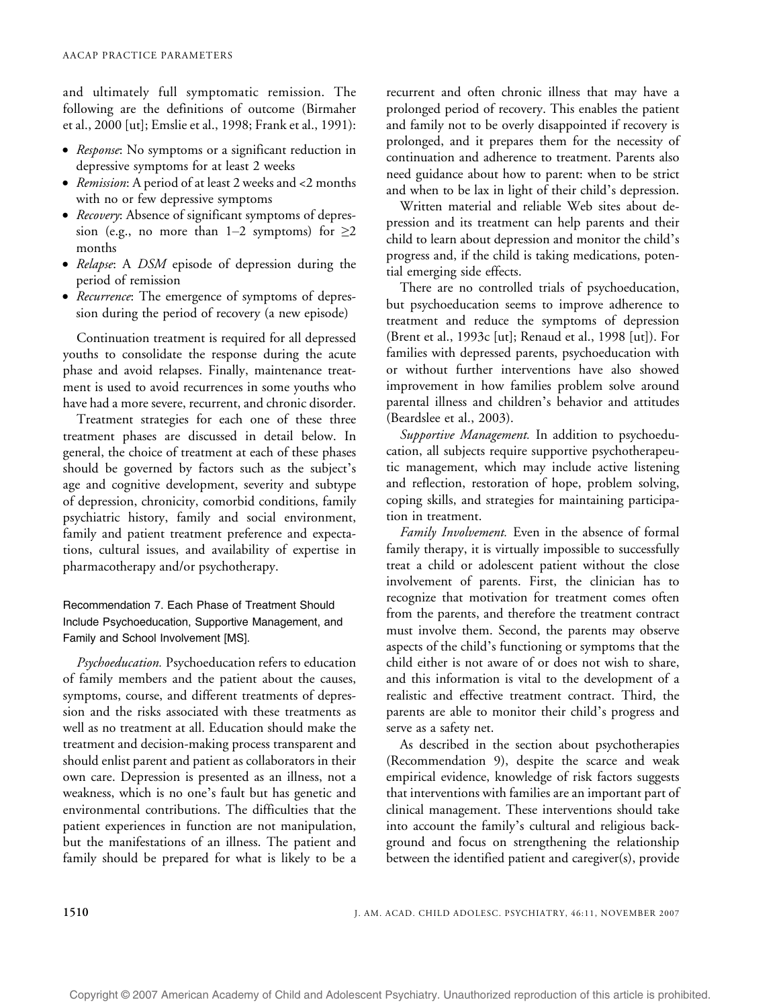and ultimately full symptomatic remission. The following are the definitions of outcome (Birmaher et al., 2000 [ut]; Emslie et al., 1998; Frank et al., 1991):

- Response: No symptoms or a significant reduction in depressive symptoms for at least 2 weeks
- Remission: A period of at least 2 weeks and <2 months with no or few depressive symptoms
- Recovery: Absence of significant symptoms of depression (e.g., no more than  $1-2$  symptoms) for  $\geq 2$ months
- Relapse: A DSM episode of depression during the period of remission
- Recurrence: The emergence of symptoms of depression during the period of recovery (a new episode)

Continuation treatment is required for all depressed youths to consolidate the response during the acute phase and avoid relapses. Finally, maintenance treatment is used to avoid recurrences in some youths who have had a more severe, recurrent, and chronic disorder.

Treatment strategies for each one of these three treatment phases are discussed in detail below. In general, the choice of treatment at each of these phases should be governed by factors such as the subject's age and cognitive development, severity and subtype of depression, chronicity, comorbid conditions, family psychiatric history, family and social environment, family and patient treatment preference and expectations, cultural issues, and availability of expertise in pharmacotherapy and/or psychotherapy.

Recommendation 7. Each Phase of Treatment Should Include Psychoeducation, Supportive Management, and Family and School Involvement [MS].

Psychoeducation. Psychoeducation refers to education of family members and the patient about the causes, symptoms, course, and different treatments of depression and the risks associated with these treatments as well as no treatment at all. Education should make the treatment and decision-making process transparent and should enlist parent and patient as collaborators in their own care. Depression is presented as an illness, not a weakness, which is no one's fault but has genetic and environmental contributions. The difficulties that the patient experiences in function are not manipulation, but the manifestations of an illness. The patient and family should be prepared for what is likely to be a

recurrent and often chronic illness that may have a prolonged period of recovery. This enables the patient and family not to be overly disappointed if recovery is prolonged, and it prepares them for the necessity of continuation and adherence to treatment. Parents also need guidance about how to parent: when to be strict and when to be lax in light of their child's depression.

Written material and reliable Web sites about depression and its treatment can help parents and their child to learn about depression and monitor the child's progress and, if the child is taking medications, potential emerging side effects.

There are no controlled trials of psychoeducation, but psychoeducation seems to improve adherence to treatment and reduce the symptoms of depression (Brent et al., 1993c [ut]; Renaud et al., 1998 [ut]). For families with depressed parents, psychoeducation with or without further interventions have also showed improvement in how families problem solve around parental illness and children's behavior and attitudes (Beardslee et al., 2003).

Supportive Management. In addition to psychoeducation, all subjects require supportive psychotherapeutic management, which may include active listening and reflection, restoration of hope, problem solving, coping skills, and strategies for maintaining participation in treatment.

Family Involvement. Even in the absence of formal family therapy, it is virtually impossible to successfully treat a child or adolescent patient without the close involvement of parents. First, the clinician has to recognize that motivation for treatment comes often from the parents, and therefore the treatment contract must involve them. Second, the parents may observe aspects of the child's functioning or symptoms that the child either is not aware of or does not wish to share, and this information is vital to the development of a realistic and effective treatment contract. Third, the parents are able to monitor their child's progress and serve as a safety net.

As described in the section about psychotherapies (Recommendation 9), despite the scarce and weak empirical evidence, knowledge of risk factors suggests that interventions with families are an important part of clinical management. These interventions should take into account the family's cultural and religious background and focus on strengthening the relationship between the identified patient and caregiver(s), provide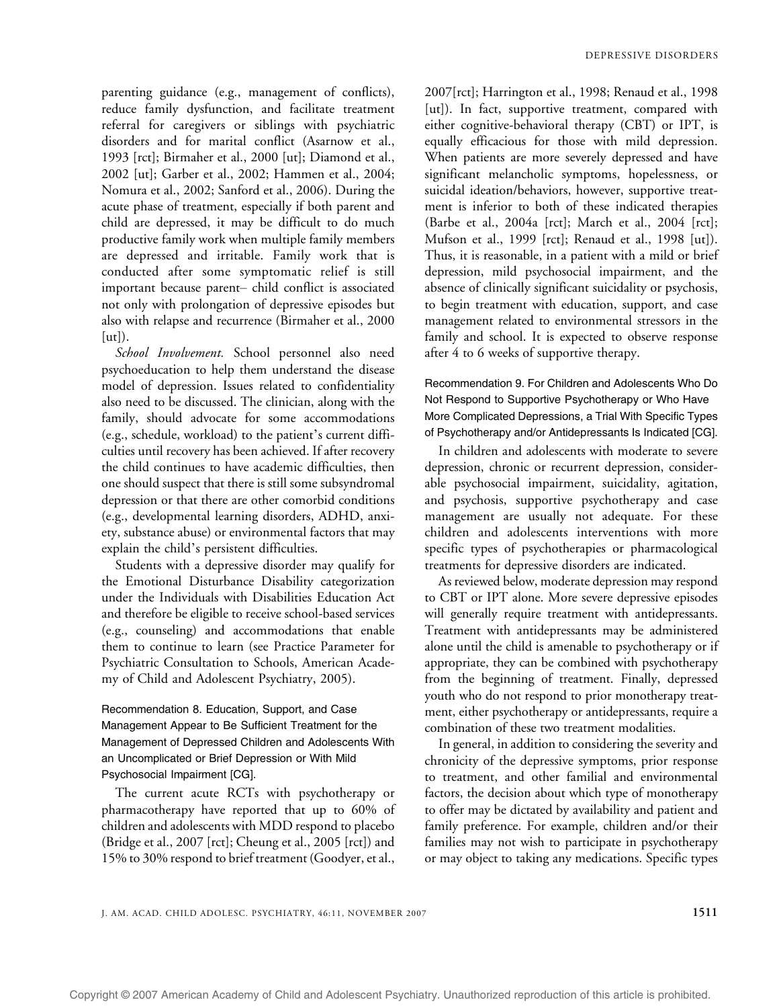parenting guidance (e.g., management of conflicts), reduce family dysfunction, and facilitate treatment referral for caregivers or siblings with psychiatric disorders and for marital conflict (Asarnow et al., 1993 [rct]; Birmaher et al., 2000 [ut]; Diamond et al., 2002 [ut]; Garber et al., 2002; Hammen et al., 2004; Nomura et al., 2002; Sanford et al., 2006). During the acute phase of treatment, especially if both parent and child are depressed, it may be difficult to do much productive family work when multiple family members are depressed and irritable. Family work that is conducted after some symptomatic relief is still important because parent- child conflict is associated not only with prolongation of depressive episodes but also with relapse and recurrence (Birmaher et al., 2000  $[ut]$ ).

School Involvement. School personnel also need psychoeducation to help them understand the disease model of depression. Issues related to confidentiality also need to be discussed. The clinician, along with the family, should advocate for some accommodations (e.g., schedule, workload) to the patient\_s current difficulties until recovery has been achieved. If after recovery the child continues to have academic difficulties, then one should suspect that there is still some subsyndromal depression or that there are other comorbid conditions (e.g., developmental learning disorders, ADHD, anxiety, substance abuse) or environmental factors that may explain the child's persistent difficulties.

Students with a depressive disorder may qualify for the Emotional Disturbance Disability categorization under the Individuals with Disabilities Education Act and therefore be eligible to receive school-based services (e.g., counseling) and accommodations that enable them to continue to learn (see Practice Parameter for Psychiatric Consultation to Schools, American Academy of Child and Adolescent Psychiatry, 2005).

Recommendation 8. Education, Support, and Case Management Appear to Be Sufficient Treatment for the Management of Depressed Children and Adolescents With an Uncomplicated or Brief Depression or With Mild Psychosocial Impairment [CG].

The current acute RCTs with psychotherapy or pharmacotherapy have reported that up to 60% of children and adolescents with MDD respond to placebo (Bridge et al., 2007 [rct]; Cheung et al., 2005 [rct]) and 15% to 30% respond to brief treatment (Goodyer, et al., 2007[rct]; Harrington et al., 1998; Renaud et al., 1998 [ut]). In fact, supportive treatment, compared with either cognitive-behavioral therapy (CBT) or IPT, is equally efficacious for those with mild depression. When patients are more severely depressed and have significant melancholic symptoms, hopelessness, or suicidal ideation/behaviors, however, supportive treatment is inferior to both of these indicated therapies (Barbe et al., 2004a [rct]; March et al., 2004 [rct]; Mufson et al., 1999 [rct]; Renaud et al., 1998 [ut]). Thus, it is reasonable, in a patient with a mild or brief depression, mild psychosocial impairment, and the absence of clinically significant suicidality or psychosis, to begin treatment with education, support, and case management related to environmental stressors in the family and school. It is expected to observe response after 4 to 6 weeks of supportive therapy.

Recommendation 9. For Children and Adolescents Who Do Not Respond to Supportive Psychotherapy or Who Have More Complicated Depressions, a Trial With Specific Types of Psychotherapy and/or Antidepressants Is Indicated [CG].

In children and adolescents with moderate to severe depression, chronic or recurrent depression, considerable psychosocial impairment, suicidality, agitation, and psychosis, supportive psychotherapy and case management are usually not adequate. For these children and adolescents interventions with more specific types of psychotherapies or pharmacological treatments for depressive disorders are indicated.

As reviewed below, moderate depression may respond to CBT or IPT alone. More severe depressive episodes will generally require treatment with antidepressants. Treatment with antidepressants may be administered alone until the child is amenable to psychotherapy or if appropriate, they can be combined with psychotherapy from the beginning of treatment. Finally, depressed youth who do not respond to prior monotherapy treatment, either psychotherapy or antidepressants, require a combination of these two treatment modalities.

In general, in addition to considering the severity and chronicity of the depressive symptoms, prior response to treatment, and other familial and environmental factors, the decision about which type of monotherapy to offer may be dictated by availability and patient and family preference. For example, children and/or their families may not wish to participate in psychotherapy or may object to taking any medications. Specific types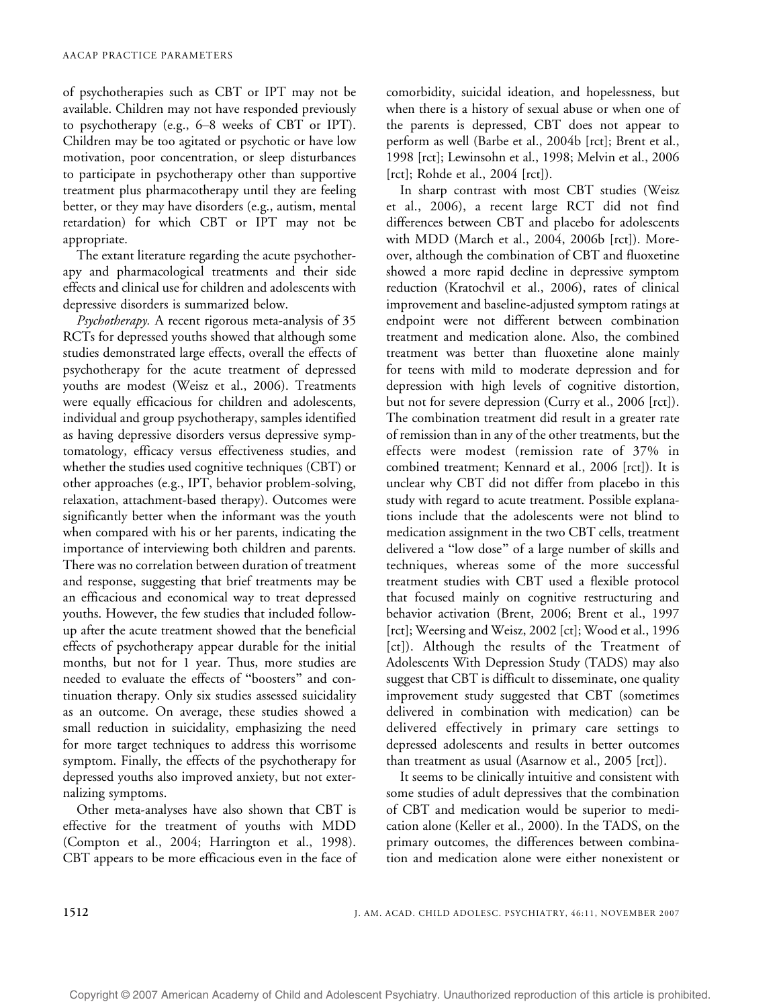of psychotherapies such as CBT or IPT may not be available. Children may not have responded previously to psychotherapy (e.g., 6-8 weeks of CBT or IPT). Children may be too agitated or psychotic or have low motivation, poor concentration, or sleep disturbances to participate in psychotherapy other than supportive treatment plus pharmacotherapy until they are feeling better, or they may have disorders (e.g., autism, mental retardation) for which CBT or IPT may not be appropriate.

The extant literature regarding the acute psychotherapy and pharmacological treatments and their side effects and clinical use for children and adolescents with depressive disorders is summarized below.

Psychotherapy. A recent rigorous meta-analysis of 35 RCTs for depressed youths showed that although some studies demonstrated large effects, overall the effects of psychotherapy for the acute treatment of depressed youths are modest (Weisz et al., 2006). Treatments were equally efficacious for children and adolescents, individual and group psychotherapy, samples identified as having depressive disorders versus depressive symptomatology, efficacy versus effectiveness studies, and whether the studies used cognitive techniques (CBT) or other approaches (e.g., IPT, behavior problem-solving, relaxation, attachment-based therapy). Outcomes were significantly better when the informant was the youth when compared with his or her parents, indicating the importance of interviewing both children and parents. There was no correlation between duration of treatment and response, suggesting that brief treatments may be an efficacious and economical way to treat depressed youths. However, the few studies that included followup after the acute treatment showed that the beneficial effects of psychotherapy appear durable for the initial months, but not for 1 year. Thus, more studies are needed to evaluate the effects of "boosters" and continuation therapy. Only six studies assessed suicidality as an outcome. On average, these studies showed a small reduction in suicidality, emphasizing the need for more target techniques to address this worrisome symptom. Finally, the effects of the psychotherapy for depressed youths also improved anxiety, but not externalizing symptoms.

Other meta-analyses have also shown that CBT is effective for the treatment of youths with MDD (Compton et al., 2004; Harrington et al., 1998). CBT appears to be more efficacious even in the face of comorbidity, suicidal ideation, and hopelessness, but when there is a history of sexual abuse or when one of the parents is depressed, CBT does not appear to perform as well (Barbe et al., 2004b [rct]; Brent et al., 1998 [rct]; Lewinsohn et al., 1998; Melvin et al., 2006 [rct]; Rohde et al., 2004 [rct]).

In sharp contrast with most CBT studies (Weisz et al., 2006), a recent large RCT did not find differences between CBT and placebo for adolescents with MDD (March et al., 2004, 2006b [rct]). Moreover, although the combination of CBT and fluoxetine showed a more rapid decline in depressive symptom reduction (Kratochvil et al., 2006), rates of clinical improvement and baseline-adjusted symptom ratings at endpoint were not different between combination treatment and medication alone. Also, the combined treatment was better than fluoxetine alone mainly for teens with mild to moderate depression and for depression with high levels of cognitive distortion, but not for severe depression (Curry et al., 2006 [rct]). The combination treatment did result in a greater rate of remission than in any of the other treatments, but the effects were modest (remission rate of 37% in combined treatment; Kennard et al., 2006 [rct]). It is unclear why CBT did not differ from placebo in this study with regard to acute treatment. Possible explanations include that the adolescents were not blind to medication assignment in the two CBT cells, treatment delivered a "low dose" of a large number of skills and techniques, whereas some of the more successful treatment studies with CBT used a flexible protocol that focused mainly on cognitive restructuring and behavior activation (Brent, 2006; Brent et al., 1997 [rct]; Weersing and Weisz, 2002 [ct]; Wood et al., 1996 [ct]). Although the results of the Treatment of Adolescents With Depression Study (TADS) may also suggest that CBT is difficult to disseminate, one quality improvement study suggested that CBT (sometimes delivered in combination with medication) can be delivered effectively in primary care settings to depressed adolescents and results in better outcomes than treatment as usual (Asarnow et al., 2005 [rct]).

It seems to be clinically intuitive and consistent with some studies of adult depressives that the combination of CBT and medication would be superior to medication alone (Keller et al., 2000). In the TADS, on the primary outcomes, the differences between combination and medication alone were either nonexistent or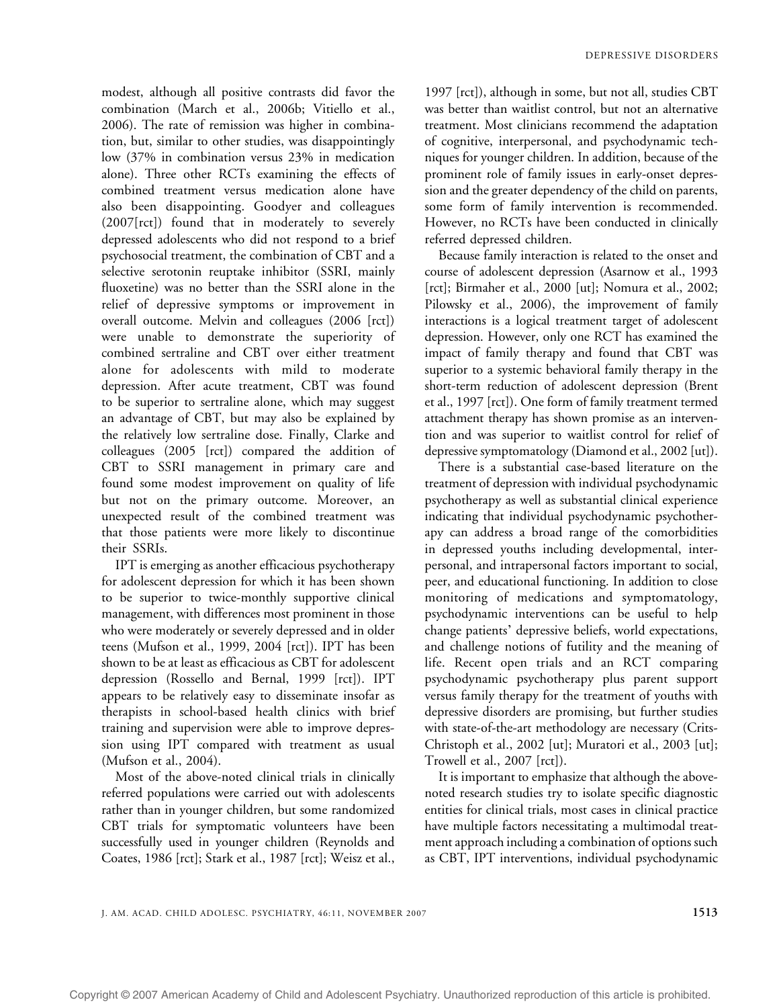modest, although all positive contrasts did favor the combination (March et al., 2006b; Vitiello et al., 2006). The rate of remission was higher in combination, but, similar to other studies, was disappointingly low (37% in combination versus 23% in medication alone). Three other RCTs examining the effects of combined treatment versus medication alone have also been disappointing. Goodyer and colleagues (2007[rct]) found that in moderately to severely depressed adolescents who did not respond to a brief psychosocial treatment, the combination of CBT and a selective serotonin reuptake inhibitor (SSRI, mainly fluoxetine) was no better than the SSRI alone in the relief of depressive symptoms or improvement in overall outcome. Melvin and colleagues (2006 [rct]) were unable to demonstrate the superiority of combined sertraline and CBT over either treatment alone for adolescents with mild to moderate depression. After acute treatment, CBT was found to be superior to sertraline alone, which may suggest an advantage of CBT, but may also be explained by the relatively low sertraline dose. Finally, Clarke and colleagues (2005 [rct]) compared the addition of CBT to SSRI management in primary care and found some modest improvement on quality of life but not on the primary outcome. Moreover, an unexpected result of the combined treatment was that those patients were more likely to discontinue their SSRIs.

IPT is emerging as another efficacious psychotherapy for adolescent depression for which it has been shown to be superior to twice-monthly supportive clinical management, with differences most prominent in those who were moderately or severely depressed and in older teens (Mufson et al., 1999, 2004 [rct]). IPT has been shown to be at least as efficacious as CBT for adolescent depression (Rossello and Bernal, 1999 [rct]). IPT appears to be relatively easy to disseminate insofar as therapists in school-based health clinics with brief training and supervision were able to improve depression using IPT compared with treatment as usual (Mufson et al., 2004).

Most of the above-noted clinical trials in clinically referred populations were carried out with adolescents rather than in younger children, but some randomized CBT trials for symptomatic volunteers have been successfully used in younger children (Reynolds and Coates, 1986 [rct]; Stark et al., 1987 [rct]; Weisz et al., 1997 [rct]), although in some, but not all, studies CBT was better than waitlist control, but not an alternative treatment. Most clinicians recommend the adaptation of cognitive, interpersonal, and psychodynamic techniques for younger children. In addition, because of the prominent role of family issues in early-onset depression and the greater dependency of the child on parents, some form of family intervention is recommended. However, no RCTs have been conducted in clinically referred depressed children.

Because family interaction is related to the onset and course of adolescent depression (Asarnow et al., 1993 [rct]; Birmaher et al., 2000 [ut]; Nomura et al., 2002; Pilowsky et al., 2006), the improvement of family interactions is a logical treatment target of adolescent depression. However, only one RCT has examined the impact of family therapy and found that CBT was superior to a systemic behavioral family therapy in the short-term reduction of adolescent depression (Brent et al., 1997 [rct]). One form of family treatment termed attachment therapy has shown promise as an intervention and was superior to waitlist control for relief of depressive symptomatology (Diamond et al., 2002 [ut]).

There is a substantial case-based literature on the treatment of depression with individual psychodynamic psychotherapy as well as substantial clinical experience indicating that individual psychodynamic psychotherapy can address a broad range of the comorbidities in depressed youths including developmental, interpersonal, and intrapersonal factors important to social, peer, and educational functioning. In addition to close monitoring of medications and symptomatology, psychodynamic interventions can be useful to help change patients' depressive beliefs, world expectations, and challenge notions of futility and the meaning of life. Recent open trials and an RCT comparing psychodynamic psychotherapy plus parent support versus family therapy for the treatment of youths with depressive disorders are promising, but further studies with state-of-the-art methodology are necessary (Crits-Christoph et al., 2002 [ut]; Muratori et al., 2003 [ut]; Trowell et al., 2007 [rct]).

It is important to emphasize that although the abovenoted research studies try to isolate specific diagnostic entities for clinical trials, most cases in clinical practice have multiple factors necessitating a multimodal treatment approach including a combination of options such as CBT, IPT interventions, individual psychodynamic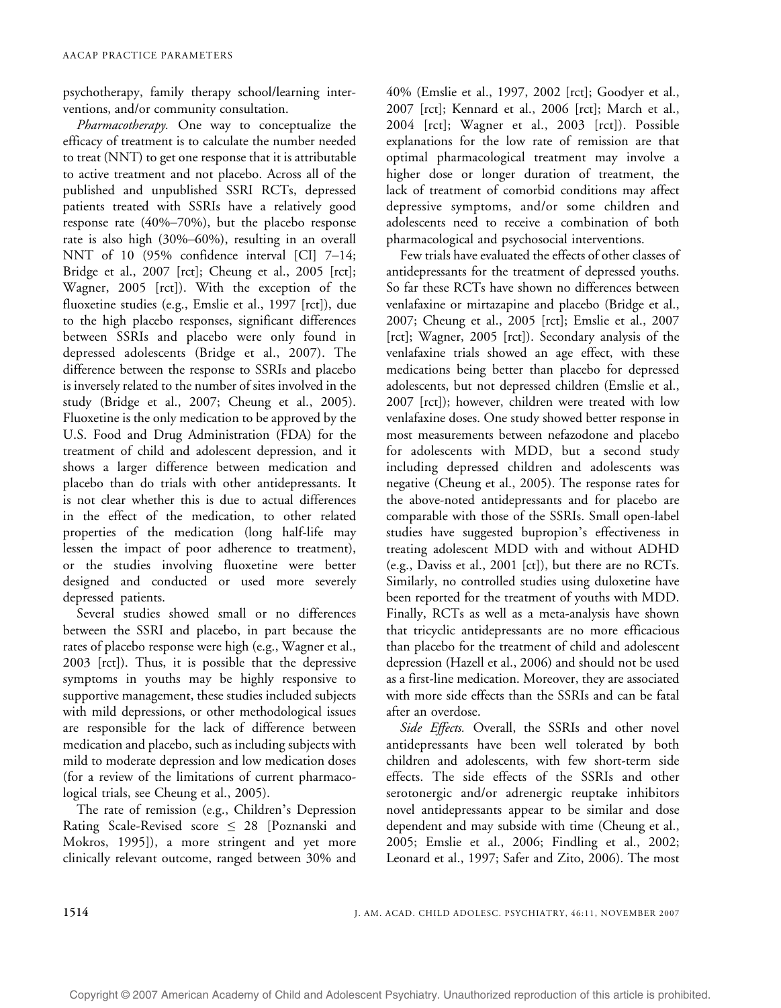psychotherapy, family therapy school/learning interventions, and/or community consultation.

Pharmacotherapy. One way to conceptualize the efficacy of treatment is to calculate the number needed to treat (NNT) to get one response that it is attributable to active treatment and not placebo. Across all of the published and unpublished SSRI RCTs, depressed patients treated with SSRIs have a relatively good response rate  $(40\% - 70\%)$ , but the placebo response rate is also high  $(30\% - 60\%)$ , resulting in an overall NNT of 10 (95% confidence interval [CI]  $7-14$ ; Bridge et al., 2007 [rct]; Cheung et al., 2005 [rct]; Wagner, 2005 [rct]). With the exception of the fluoxetine studies (e.g., Emslie et al., 1997 [rct]), due to the high placebo responses, significant differences between SSRIs and placebo were only found in depressed adolescents (Bridge et al., 2007). The difference between the response to SSRIs and placebo is inversely related to the number of sites involved in the study (Bridge et al., 2007; Cheung et al., 2005). Fluoxetine is the only medication to be approved by the U.S. Food and Drug Administration (FDA) for the treatment of child and adolescent depression, and it shows a larger difference between medication and placebo than do trials with other antidepressants. It is not clear whether this is due to actual differences in the effect of the medication, to other related properties of the medication (long half-life may lessen the impact of poor adherence to treatment), or the studies involving fluoxetine were better designed and conducted or used more severely depressed patients.

Several studies showed small or no differences between the SSRI and placebo, in part because the rates of placebo response were high (e.g., Wagner et al., 2003 [rct]). Thus, it is possible that the depressive symptoms in youths may be highly responsive to supportive management, these studies included subjects with mild depressions, or other methodological issues are responsible for the lack of difference between medication and placebo, such as including subjects with mild to moderate depression and low medication doses (for a review of the limitations of current pharmacological trials, see Cheung et al., 2005).

The rate of remission (e.g., Children's Depression Rating Scale-Revised score  $\leq 28$  [Poznanski and Mokros, 1995]), a more stringent and yet more clinically relevant outcome, ranged between 30% and

40% (Emslie et al., 1997, 2002 [rct]; Goodyer et al., 2007 [rct]; Kennard et al., 2006 [rct]; March et al., 2004 [rct]; Wagner et al., 2003 [rct]). Possible explanations for the low rate of remission are that optimal pharmacological treatment may involve a higher dose or longer duration of treatment, the lack of treatment of comorbid conditions may affect depressive symptoms, and/or some children and adolescents need to receive a combination of both pharmacological and psychosocial interventions.

Few trials have evaluated the effects of other classes of antidepressants for the treatment of depressed youths. So far these RCTs have shown no differences between venlafaxine or mirtazapine and placebo (Bridge et al., 2007; Cheung et al., 2005 [rct]; Emslie et al., 2007 [rct]; Wagner, 2005 [rct]). Secondary analysis of the venlafaxine trials showed an age effect, with these medications being better than placebo for depressed adolescents, but not depressed children (Emslie et al., 2007 [rct]); however, children were treated with low venlafaxine doses. One study showed better response in most measurements between nefazodone and placebo for adolescents with MDD, but a second study including depressed children and adolescents was negative (Cheung et al., 2005). The response rates for the above-noted antidepressants and for placebo are comparable with those of the SSRIs. Small open-label studies have suggested bupropion's effectiveness in treating adolescent MDD with and without ADHD (e.g., Daviss et al., 2001 [ct]), but there are no RCTs. Similarly, no controlled studies using duloxetine have been reported for the treatment of youths with MDD. Finally, RCTs as well as a meta-analysis have shown that tricyclic antidepressants are no more efficacious than placebo for the treatment of child and adolescent depression (Hazell et al., 2006) and should not be used as a first-line medication. Moreover, they are associated with more side effects than the SSRIs and can be fatal after an overdose.

Side Effects. Overall, the SSRIs and other novel antidepressants have been well tolerated by both children and adolescents, with few short-term side effects. The side effects of the SSRIs and other serotonergic and/or adrenergic reuptake inhibitors novel antidepressants appear to be similar and dose dependent and may subside with time (Cheung et al., 2005; Emslie et al., 2006; Findling et al., 2002; Leonard et al., 1997; Safer and Zito, 2006). The most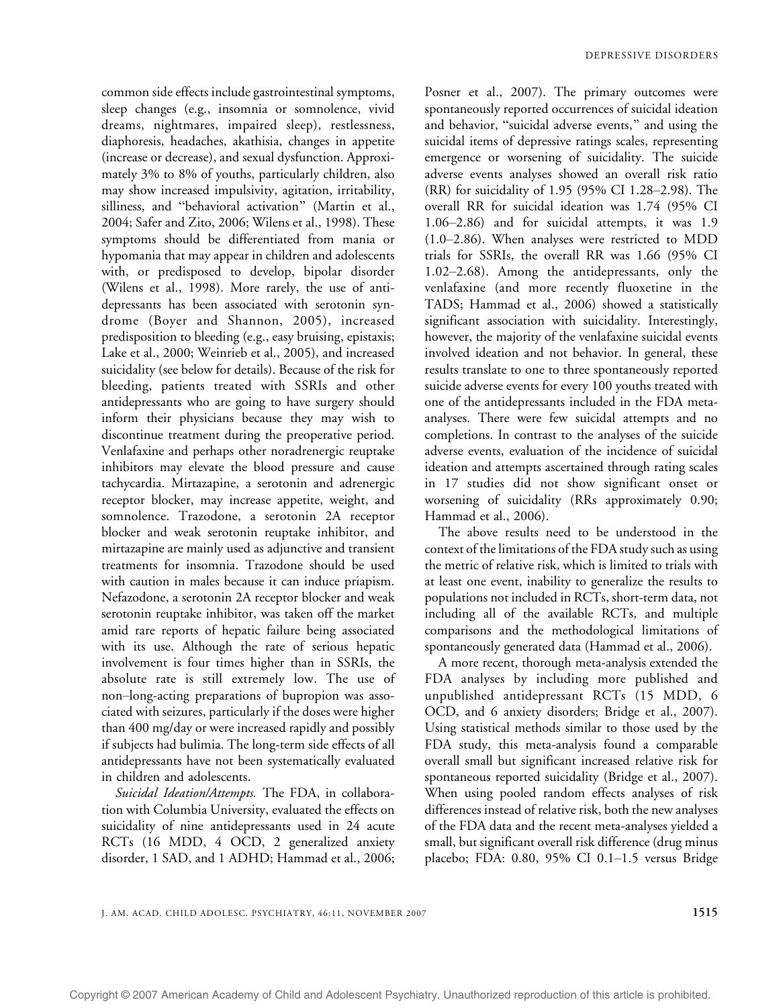common side effects include gastrointestinal symptoms, sleep changes (e.g., insomnia or somnolence, vivid dreams, nightmares, impaired sleep), restlessness, diaphoresis, headaches, akathisia, changes in appetite (increase or decrease), and sexual dysfunction. Approximately 3% to 8% of youths, particularly children, also may show increased impulsivity, agitation, irritability, silliness, and "behavioral activation" (Martin et al., 2004; Safer and Zito, 2006; Wilens et al., 1998). These symptoms should be differentiated from mania or hypomania that may appear in children and adolescents with, or predisposed to develop, bipolar disorder (Wilens et al., 1998). More rarely, the use of antidepressants has been associated with serotonin syndrome (Boyer and Shannon, 2005), increased predisposition to bleeding (e.g., easy bruising, epistaxis; Lake et al., 2000; Weinrieb et al., 2005), and increased suicidality (see below for details). Because of the risk for bleeding, patients treated with SSRIs and other antidepressants who are going to have surgery should inform their physicians because they may wish to discontinue treatment during the preoperative period. Venlafaxine and perhaps other noradrenergic reuptake inhibitors may elevate the blood pressure and cause tachycardia. Mirtazapine, a serotonin and adrenergic receptor blocker, may increase appetite, weight, and somnolence. Trazodone, a serotonin 2A receptor blocker and weak serotonin reuptake inhibitor, and mirtazapine are mainly used as adjunctive and transient treatments for insomnia. Trazodone should be used with caution in males because it can induce priapism. Nefazodone, a serotonin 2A receptor blocker and weak serotonin reuptake inhibitor, was taken off the market amid rare reports of hepatic failure being associated with its use. Although the rate of serious hepatic involvement is four times higher than in SSRIs, the absolute rate is still extremely low. The use of non-long-acting preparations of bupropion was associated with seizures, particularly if the doses were higher than 400 mg/day or were increased rapidly and possibly if subjects had bulimia. The long-term side effects of all antidepressants have not been systematically evaluated in children and adolescents.

Suicidal Ideation/Attempts. The FDA, in collaboration with Columbia University, evaluated the effects on suicidality of nine antidepressants used in 24 acute RCTs (16 MDD, 4 OCD, 2 generalized anxiety disorder, 1 SAD, and 1 ADHD; Hammad et al., 2006; Posner et al., 2007). The primary outcomes were spontaneously reported occurrences of suicidal ideation and behavior, "suicidal adverse events," and using the suicidal items of depressive ratings scales, representing emergence or worsening of suicidality. The suicide adverse events analyses showed an overall risk ratio (RR) for suicidality of 1.95 (95% CI 1.28-2.98). The overall RR for suicidal ideation was 1.74 (95% CI  $1.06 - 2.86$ ) and for suicidal attempts, it was  $1.9$  $(1.0-2.86)$ . When analyses were restricted to MDD trials for SSRIs, the overall RR was 1.66 (95% CI  $1.02-2.68$ ). Among the antidepressants, only the venlafaxine (and more recently fluoxetine in the TADS; Hammad et al., 2006) showed a statistically significant association with suicidality. Interestingly, however, the majority of the venlafaxine suicidal events involved ideation and not behavior. In general, these results translate to one to three spontaneously reported suicide adverse events for every 100 youths treated with one of the antidepressants included in the FDA metaanalyses. There were few suicidal attempts and no completions. In contrast to the analyses of the suicide adverse events, evaluation of the incidence of suicidal ideation and attempts ascertained through rating scales in 17 studies did not show significant onset or worsening of suicidality (RRs approximately 0.90; Hammad et al., 2006).

The above results need to be understood in the context of the limitations of the FDA study such as using the metric of relative risk, which is limited to trials with at least one event, inability to generalize the results to populations not included in RCTs, short-term data, not including all of the available RCTs, and multiple comparisons and the methodological limitations of spontaneously generated data (Hammad et al., 2006).

A more recent, thorough meta-analysis extended the FDA analyses by including more published and unpublished antidepressant RCTs (15 MDD, 6 OCD, and 6 anxiety disorders; Bridge et al., 2007). Using statistical methods similar to those used by the FDA study, this meta-analysis found a comparable overall small but significant increased relative risk for spontaneous reported suicidality (Bridge et al., 2007). When using pooled random effects analyses of risk differences instead of relative risk, both the new analyses of the FDA data and the recent meta-analyses yielded a small, but significant overall risk difference (drug minus placebo; FDA: 0.80, 95% CI 0.1-1.5 versus Bridge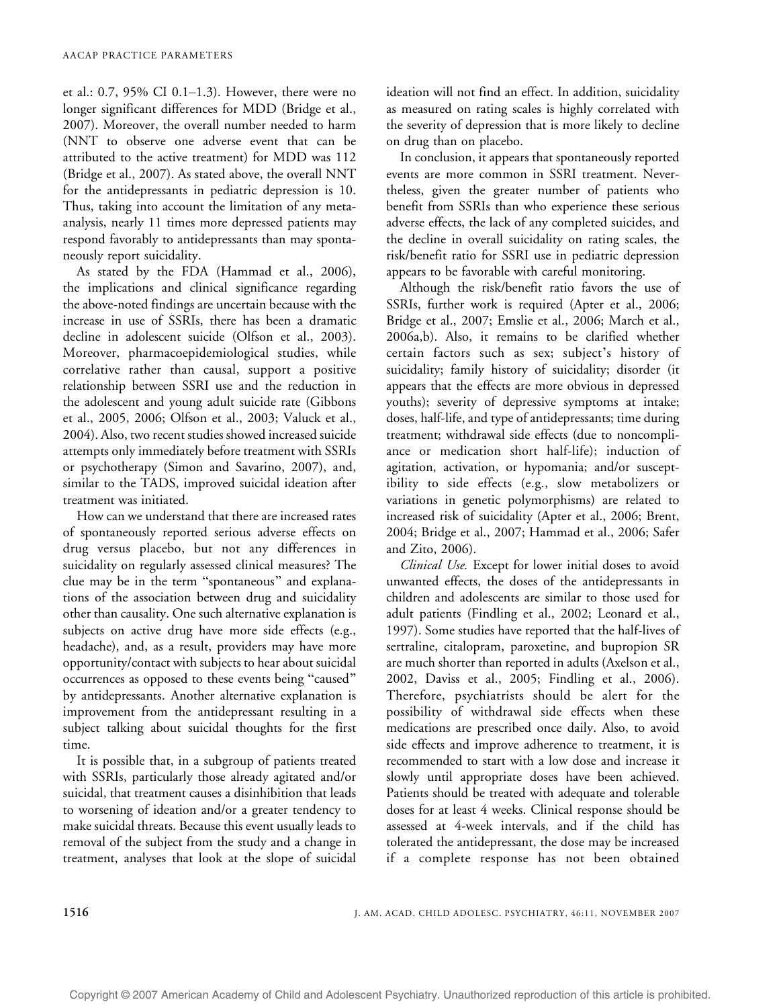et al.: 0.7, 95% CI 0.1-1.3). However, there were no longer significant differences for MDD (Bridge et al., 2007). Moreover, the overall number needed to harm (NNT to observe one adverse event that can be attributed to the active treatment) for MDD was 112 (Bridge et al., 2007). As stated above, the overall NNT for the antidepressants in pediatric depression is 10. Thus, taking into account the limitation of any metaanalysis, nearly 11 times more depressed patients may respond favorably to antidepressants than may spontaneously report suicidality.

As stated by the FDA (Hammad et al., 2006), the implications and clinical significance regarding the above-noted findings are uncertain because with the increase in use of SSRIs, there has been a dramatic decline in adolescent suicide (Olfson et al., 2003). Moreover, pharmacoepidemiological studies, while correlative rather than causal, support a positive relationship between SSRI use and the reduction in the adolescent and young adult suicide rate (Gibbons et al., 2005, 2006; Olfson et al., 2003; Valuck et al., 2004). Also, two recent studies showed increased suicide attempts only immediately before treatment with SSRIs or psychotherapy (Simon and Savarino, 2007), and, similar to the TADS, improved suicidal ideation after treatment was initiated.

How can we understand that there are increased rates of spontaneously reported serious adverse effects on drug versus placebo, but not any differences in suicidality on regularly assessed clinical measures? The clue may be in the term "spontaneous" and explanations of the association between drug and suicidality other than causality. One such alternative explanation is subjects on active drug have more side effects (e.g., headache), and, as a result, providers may have more opportunity/contact with subjects to hear about suicidal occurrences as opposed to these events being "caused" by antidepressants. Another alternative explanation is improvement from the antidepressant resulting in a subject talking about suicidal thoughts for the first time.

It is possible that, in a subgroup of patients treated with SSRIs, particularly those already agitated and/or suicidal, that treatment causes a disinhibition that leads to worsening of ideation and/or a greater tendency to make suicidal threats. Because this event usually leads to removal of the subject from the study and a change in treatment, analyses that look at the slope of suicidal

ideation will not find an effect. In addition, suicidality as measured on rating scales is highly correlated with the severity of depression that is more likely to decline on drug than on placebo.

In conclusion, it appears that spontaneously reported events are more common in SSRI treatment. Nevertheless, given the greater number of patients who benefit from SSRIs than who experience these serious adverse effects, the lack of any completed suicides, and the decline in overall suicidality on rating scales, the risk/benefit ratio for SSRI use in pediatric depression appears to be favorable with careful monitoring.

Although the risk/benefit ratio favors the use of SSRIs, further work is required (Apter et al., 2006; Bridge et al., 2007; Emslie et al., 2006; March et al., 2006a,b). Also, it remains to be clarified whether certain factors such as sex; subject's history of suicidality; family history of suicidality; disorder (it appears that the effects are more obvious in depressed youths); severity of depressive symptoms at intake; doses, half-life, and type of antidepressants; time during treatment; withdrawal side effects (due to noncompliance or medication short half-life); induction of agitation, activation, or hypomania; and/or susceptibility to side effects (e.g., slow metabolizers or variations in genetic polymorphisms) are related to increased risk of suicidality (Apter et al., 2006; Brent, 2004; Bridge et al., 2007; Hammad et al., 2006; Safer and Zito, 2006).

Clinical Use. Except for lower initial doses to avoid unwanted effects, the doses of the antidepressants in children and adolescents are similar to those used for adult patients (Findling et al., 2002; Leonard et al., 1997). Some studies have reported that the half-lives of sertraline, citalopram, paroxetine, and bupropion SR are much shorter than reported in adults (Axelson et al., 2002, Daviss et al., 2005; Findling et al., 2006). Therefore, psychiatrists should be alert for the possibility of withdrawal side effects when these medications are prescribed once daily. Also, to avoid side effects and improve adherence to treatment, it is recommended to start with a low dose and increase it slowly until appropriate doses have been achieved. Patients should be treated with adequate and tolerable doses for at least 4 weeks. Clinical response should be assessed at 4-week intervals, and if the child has tolerated the antidepressant, the dose may be increased if a complete response has not been obtained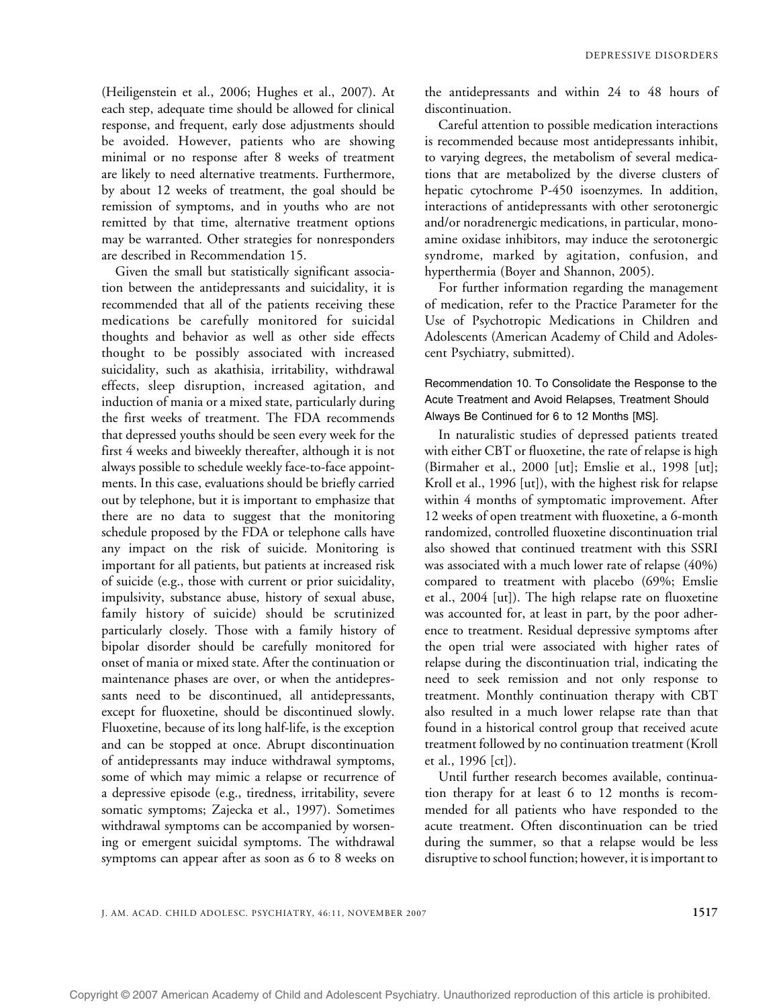(Heiligenstein et al., 2006; Hughes et al., 2007). At each step, adequate time should be allowed for clinical response, and frequent, early dose adjustments should be avoided. However, patients who are showing minimal or no response after 8 weeks of treatment are likely to need alternative treatments. Furthermore, by about 12 weeks of treatment, the goal should be remission of symptoms, and in youths who are not remitted by that time, alternative treatment options may be warranted. Other strategies for nonresponders are described in Recommendation 15.

Given the small but statistically significant association between the antidepressants and suicidality, it is recommended that all of the patients receiving these medications be carefully monitored for suicidal thoughts and behavior as well as other side effects thought to be possibly associated with increased suicidality, such as akathisia, irritability, withdrawal effects, sleep disruption, increased agitation, and induction of mania or a mixed state, particularly during the first weeks of treatment. The FDA recommends that depressed youths should be seen every week for the first 4 weeks and biweekly thereafter, although it is not always possible to schedule weekly face-to-face appointments. In this case, evaluations should be briefly carried out by telephone, but it is important to emphasize that there are no data to suggest that the monitoring schedule proposed by the FDA or telephone calls have any impact on the risk of suicide. Monitoring is important for all patients, but patients at increased risk of suicide (e.g., those with current or prior suicidality, impulsivity, substance abuse, history of sexual abuse, family history of suicide) should be scrutinized particularly closely. Those with a family history of bipolar disorder should be carefully monitored for onset of mania or mixed state. After the continuation or maintenance phases are over, or when the antidepressants need to be discontinued, all antidepressants, except for fluoxetine, should be discontinued slowly. Fluoxetine, because of its long half-life, is the exception and can be stopped at once. Abrupt discontinuation of antidepressants may induce withdrawal symptoms, some of which may mimic a relapse or recurrence of a depressive episode (e.g., tiredness, irritability, severe somatic symptoms; Zajecka et al., 1997). Sometimes withdrawal symptoms can be accompanied by worsening or emergent suicidal symptoms. The withdrawal symptoms can appear after as soon as 6 to 8 weeks on

the antidepressants and within 24 to 48 hours of discontinuation.

Careful attention to possible medication interactions is recommended because most antidepressants inhibit, to varying degrees, the metabolism of several medications that are metabolized by the diverse clusters of hepatic cytochrome P-450 isoenzymes. In addition, interactions of antidepressants with other serotonergic and/or noradrenergic medications, in particular, monoamine oxidase inhibitors, may induce the serotonergic syndrome, marked by agitation, confusion, and hyperthermia (Boyer and Shannon, 2005).

For further information regarding the management of medication, refer to the Practice Parameter for the Use of Psychotropic Medications in Children and Adolescents (American Academy of Child and Adolescent Psychiatry, submitted).

## Recommendation 10. To Consolidate the Response to the Acute Treatment and Avoid Relapses, Treatment Should Always Be Continued for 6 to 12 Months [MS].

In naturalistic studies of depressed patients treated with either CBT or fluoxetine, the rate of relapse is high (Birmaher et al., 2000 [ut]; Emslie et al., 1998 [ut]; Kroll et al., 1996 [ut]), with the highest risk for relapse within 4 months of symptomatic improvement. After 12 weeks of open treatment with fluoxetine, a 6-month randomized, controlled fluoxetine discontinuation trial also showed that continued treatment with this SSRI was associated with a much lower rate of relapse (40%) compared to treatment with placebo (69%; Emslie et al., 2004 [ut]). The high relapse rate on fluoxetine was accounted for, at least in part, by the poor adherence to treatment. Residual depressive symptoms after the open trial were associated with higher rates of relapse during the discontinuation trial, indicating the need to seek remission and not only response to treatment. Monthly continuation therapy with CBT also resulted in a much lower relapse rate than that found in a historical control group that received acute treatment followed by no continuation treatment (Kroll et al., 1996 [ct]).

Until further research becomes available, continuation therapy for at least 6 to 12 months is recommended for all patients who have responded to the acute treatment. Often discontinuation can be tried during the summer, so that a relapse would be less disruptive to school function; however, it is important to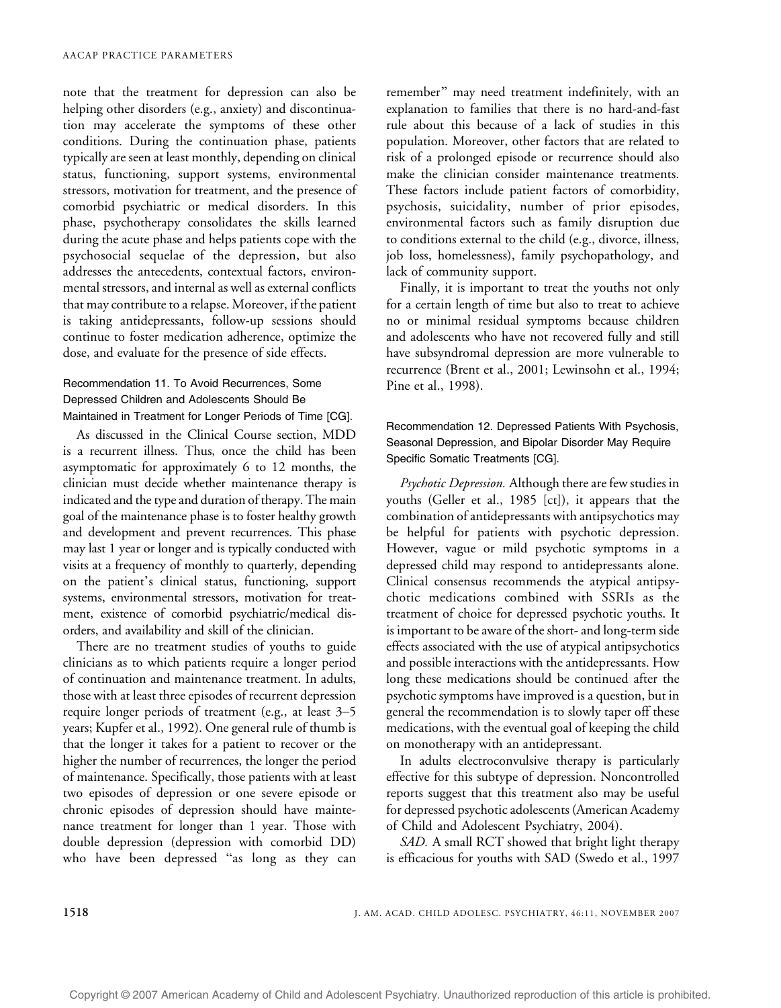note that the treatment for depression can also be helping other disorders (e.g., anxiety) and discontinuation may accelerate the symptoms of these other conditions. During the continuation phase, patients typically are seen at least monthly, depending on clinical status, functioning, support systems, environmental stressors, motivation for treatment, and the presence of comorbid psychiatric or medical disorders. In this phase, psychotherapy consolidates the skills learned during the acute phase and helps patients cope with the psychosocial sequelae of the depression, but also addresses the antecedents, contextual factors, environmental stressors, and internal as well as external conflicts that may contribute to a relapse. Moreover, if the patient is taking antidepressants, follow-up sessions should continue to foster medication adherence, optimize the dose, and evaluate for the presence of side effects.

## Recommendation 11. To Avoid Recurrences, Some Depressed Children and Adolescents Should Be Maintained in Treatment for Longer Periods of Time [CG].

As discussed in the Clinical Course section, MDD is a recurrent illness. Thus, once the child has been asymptomatic for approximately 6 to 12 months, the clinician must decide whether maintenance therapy is indicated and the type and duration of therapy. The main goal of the maintenance phase is to foster healthy growth and development and prevent recurrences. This phase may last 1 year or longer and is typically conducted with visits at a frequency of monthly to quarterly, depending on the patient's clinical status, functioning, support systems, environmental stressors, motivation for treatment, existence of comorbid psychiatric/medical disorders, and availability and skill of the clinician.

There are no treatment studies of youths to guide clinicians as to which patients require a longer period of continuation and maintenance treatment. In adults, those with at least three episodes of recurrent depression require longer periods of treatment (e.g., at least  $3-5$ years; Kupfer et al., 1992). One general rule of thumb is that the longer it takes for a patient to recover or the higher the number of recurrences, the longer the period of maintenance. Specifically, those patients with at least two episodes of depression or one severe episode or chronic episodes of depression should have maintenance treatment for longer than 1 year. Those with double depression (depression with comorbid DD) who have been depressed "as long as they can

remember" may need treatment indefinitely, with an explanation to families that there is no hard-and-fast rule about this because of a lack of studies in this population. Moreover, other factors that are related to risk of a prolonged episode or recurrence should also make the clinician consider maintenance treatments. These factors include patient factors of comorbidity, psychosis, suicidality, number of prior episodes, environmental factors such as family disruption due to conditions external to the child (e.g., divorce, illness, job loss, homelessness), family psychopathology, and lack of community support.

Finally, it is important to treat the youths not only for a certain length of time but also to treat to achieve no or minimal residual symptoms because children and adolescents who have not recovered fully and still have subsyndromal depression are more vulnerable to recurrence (Brent et al., 2001; Lewinsohn et al., 1994; Pine et al., 1998).

## Recommendation 12. Depressed Patients With Psychosis, Seasonal Depression, and Bipolar Disorder May Require Specific Somatic Treatments [CG].

Psychotic Depression. Although there are few studies in youths (Geller et al., 1985 [ct]), it appears that the combination of antidepressants with antipsychotics may be helpful for patients with psychotic depression. However, vague or mild psychotic symptoms in a depressed child may respond to antidepressants alone. Clinical consensus recommends the atypical antipsychotic medications combined with SSRIs as the treatment of choice for depressed psychotic youths. It is important to be aware of the short- and long-term side effects associated with the use of atypical antipsychotics and possible interactions with the antidepressants. How long these medications should be continued after the psychotic symptoms have improved is a question, but in general the recommendation is to slowly taper off these medications, with the eventual goal of keeping the child on monotherapy with an antidepressant.

In adults electroconvulsive therapy is particularly effective for this subtype of depression. Noncontrolled reports suggest that this treatment also may be useful for depressed psychotic adolescents (American Academy of Child and Adolescent Psychiatry, 2004).

SAD. A small RCT showed that bright light therapy is efficacious for youths with SAD (Swedo et al., 1997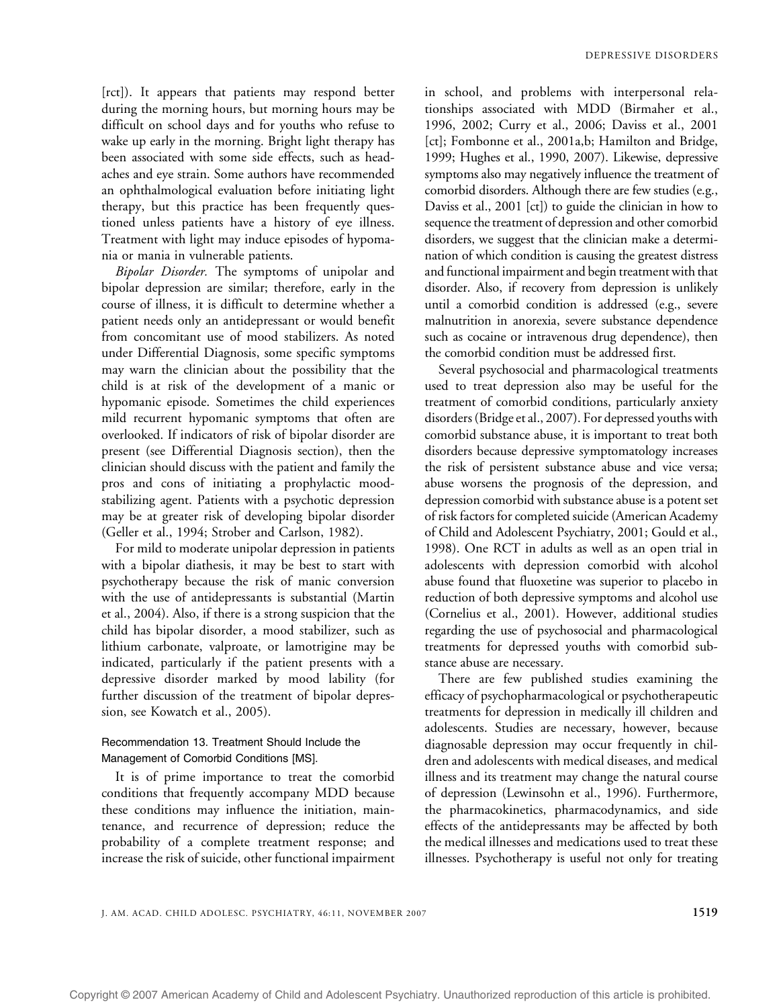[rct]). It appears that patients may respond better during the morning hours, but morning hours may be difficult on school days and for youths who refuse to wake up early in the morning. Bright light therapy has been associated with some side effects, such as headaches and eye strain. Some authors have recommended an ophthalmological evaluation before initiating light therapy, but this practice has been frequently questioned unless patients have a history of eye illness. Treatment with light may induce episodes of hypomania or mania in vulnerable patients.

Bipolar Disorder. The symptoms of unipolar and bipolar depression are similar; therefore, early in the course of illness, it is difficult to determine whether a patient needs only an antidepressant or would benefit from concomitant use of mood stabilizers. As noted under Differential Diagnosis, some specific symptoms may warn the clinician about the possibility that the child is at risk of the development of a manic or hypomanic episode. Sometimes the child experiences mild recurrent hypomanic symptoms that often are overlooked. If indicators of risk of bipolar disorder are present (see Differential Diagnosis section), then the clinician should discuss with the patient and family the pros and cons of initiating a prophylactic moodstabilizing agent. Patients with a psychotic depression may be at greater risk of developing bipolar disorder (Geller et al., 1994; Strober and Carlson, 1982).

For mild to moderate unipolar depression in patients with a bipolar diathesis, it may be best to start with psychotherapy because the risk of manic conversion with the use of antidepressants is substantial (Martin et al., 2004). Also, if there is a strong suspicion that the child has bipolar disorder, a mood stabilizer, such as lithium carbonate, valproate, or lamotrigine may be indicated, particularly if the patient presents with a depressive disorder marked by mood lability (for further discussion of the treatment of bipolar depression, see Kowatch et al., 2005).

## Recommendation 13. Treatment Should Include the Management of Comorbid Conditions [MS].

It is of prime importance to treat the comorbid conditions that frequently accompany MDD because these conditions may influence the initiation, maintenance, and recurrence of depression; reduce the probability of a complete treatment response; and increase the risk of suicide, other functional impairment in school, and problems with interpersonal relationships associated with MDD (Birmaher et al., 1996, 2002; Curry et al., 2006; Daviss et al., 2001 [ct]; Fombonne et al., 2001a,b; Hamilton and Bridge, 1999; Hughes et al., 1990, 2007). Likewise, depressive symptoms also may negatively influence the treatment of comorbid disorders. Although there are few studies (e.g., Daviss et al., 2001 [ct]) to guide the clinician in how to sequence the treatment of depression and other comorbid disorders, we suggest that the clinician make a determination of which condition is causing the greatest distress and functional impairment and begin treatment with that disorder. Also, if recovery from depression is unlikely until a comorbid condition is addressed (e.g., severe malnutrition in anorexia, severe substance dependence such as cocaine or intravenous drug dependence), then the comorbid condition must be addressed first.

Several psychosocial and pharmacological treatments used to treat depression also may be useful for the treatment of comorbid conditions, particularly anxiety disorders (Bridge et al., 2007). For depressed youths with comorbid substance abuse, it is important to treat both disorders because depressive symptomatology increases the risk of persistent substance abuse and vice versa; abuse worsens the prognosis of the depression, and depression comorbid with substance abuse is a potent set of risk factors for completed suicide (American Academy of Child and Adolescent Psychiatry, 2001; Gould et al., 1998). One RCT in adults as well as an open trial in adolescents with depression comorbid with alcohol abuse found that fluoxetine was superior to placebo in reduction of both depressive symptoms and alcohol use (Cornelius et al., 2001). However, additional studies regarding the use of psychosocial and pharmacological treatments for depressed youths with comorbid substance abuse are necessary.

There are few published studies examining the efficacy of psychopharmacological or psychotherapeutic treatments for depression in medically ill children and adolescents. Studies are necessary, however, because diagnosable depression may occur frequently in children and adolescents with medical diseases, and medical illness and its treatment may change the natural course of depression (Lewinsohn et al., 1996). Furthermore, the pharmacokinetics, pharmacodynamics, and side effects of the antidepressants may be affected by both the medical illnesses and medications used to treat these illnesses. Psychotherapy is useful not only for treating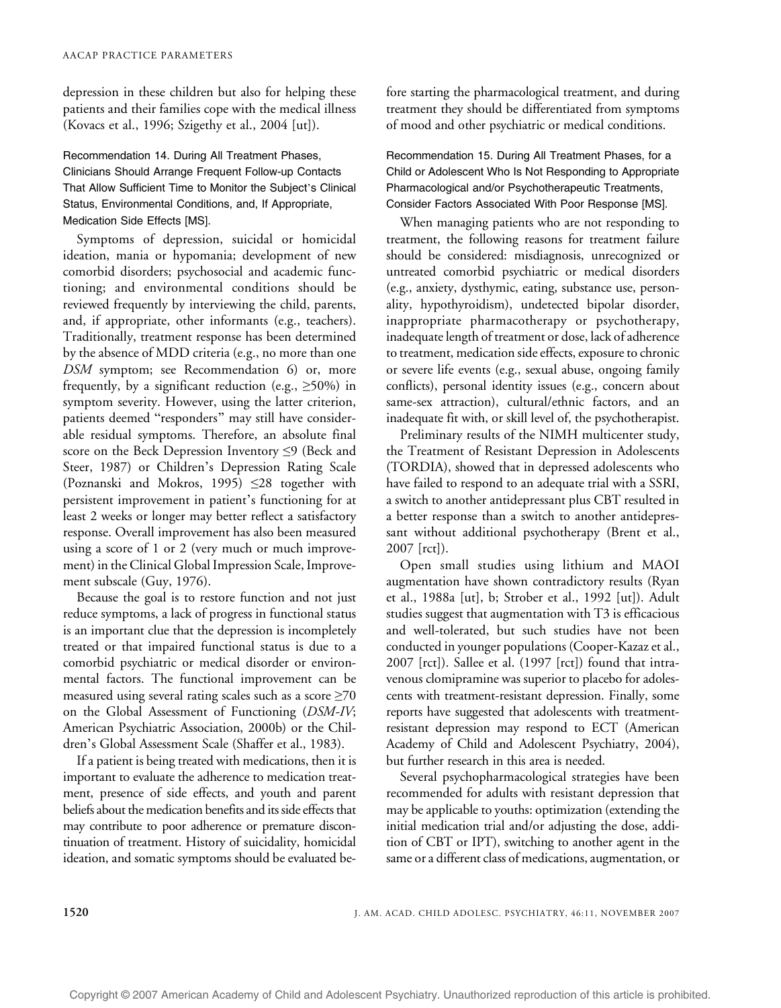depression in these children but also for helping these patients and their families cope with the medical illness (Kovacs et al., 1996; Szigethy et al., 2004 [ut]).

Recommendation 14. During All Treatment Phases, Clinicians Should Arrange Frequent Follow-up Contacts That Allow Sufficient Time to Monitor the Subject's Clinical Status, Environmental Conditions, and, If Appropriate, Medication Side Effects [MS].

Symptoms of depression, suicidal or homicidal ideation, mania or hypomania; development of new comorbid disorders; psychosocial and academic functioning; and environmental conditions should be reviewed frequently by interviewing the child, parents, and, if appropriate, other informants (e.g., teachers). Traditionally, treatment response has been determined by the absence of MDD criteria (e.g., no more than one DSM symptom; see Recommendation 6) or, more frequently, by a significant reduction (e.g.,  $\geq$ 50%) in symptom severity. However, using the latter criterion, patients deemed "responders" may still have considerable residual symptoms. Therefore, an absolute final score on the Beck Depression Inventory  $\leq$ 9 (Beck and Steer, 1987) or Children's Depression Rating Scale (Poznanski and Mokros, 1995)  $\leq$ 28 together with persistent improvement in patient's functioning for at least 2 weeks or longer may better reflect a satisfactory response. Overall improvement has also been measured using a score of 1 or 2 (very much or much improvement) in the Clinical Global Impression Scale, Improvement subscale (Guy, 1976).

Because the goal is to restore function and not just reduce symptoms, a lack of progress in functional status is an important clue that the depression is incompletely treated or that impaired functional status is due to a comorbid psychiatric or medical disorder or environmental factors. The functional improvement can be measured using several rating scales such as a score  $\geq$ 70 on the Global Assessment of Functioning (DSM-IV; American Psychiatric Association, 2000b) or the Children's Global Assessment Scale (Shaffer et al., 1983).

If a patient is being treated with medications, then it is important to evaluate the adherence to medication treatment, presence of side effects, and youth and parent beliefs about the medication benefits and its side effects that may contribute to poor adherence or premature discontinuation of treatment. History of suicidality, homicidal ideation, and somatic symptoms should be evaluated before starting the pharmacological treatment, and during treatment they should be differentiated from symptoms of mood and other psychiatric or medical conditions.

Recommendation 15. During All Treatment Phases, for a Child or Adolescent Who Is Not Responding to Appropriate Pharmacological and/or Psychotherapeutic Treatments, Consider Factors Associated With Poor Response [MS].

When managing patients who are not responding to treatment, the following reasons for treatment failure should be considered: misdiagnosis, unrecognized or untreated comorbid psychiatric or medical disorders (e.g., anxiety, dysthymic, eating, substance use, personality, hypothyroidism), undetected bipolar disorder, inappropriate pharmacotherapy or psychotherapy, inadequate length of treatment or dose, lack of adherence to treatment, medication side effects, exposure to chronic or severe life events (e.g., sexual abuse, ongoing family conflicts), personal identity issues (e.g., concern about same-sex attraction), cultural/ethnic factors, and an inadequate fit with, or skill level of, the psychotherapist.

Preliminary results of the NIMH multicenter study, the Treatment of Resistant Depression in Adolescents (TORDIA), showed that in depressed adolescents who have failed to respond to an adequate trial with a SSRI, a switch to another antidepressant plus CBT resulted in a better response than a switch to another antidepressant without additional psychotherapy (Brent et al., 2007 [rct]).

Open small studies using lithium and MAOI augmentation have shown contradictory results (Ryan et al., 1988a [ut], b; Strober et al., 1992 [ut]). Adult studies suggest that augmentation with T3 is efficacious and well-tolerated, but such studies have not been conducted in younger populations (Cooper-Kazaz et al., 2007 [rct]). Sallee et al. (1997 [rct]) found that intravenous clomipramine was superior to placebo for adolescents with treatment-resistant depression. Finally, some reports have suggested that adolescents with treatmentresistant depression may respond to ECT (American Academy of Child and Adolescent Psychiatry, 2004), but further research in this area is needed.

Several psychopharmacological strategies have been recommended for adults with resistant depression that may be applicable to youths: optimization (extending the initial medication trial and/or adjusting the dose, addition of CBT or IPT), switching to another agent in the same or a different class of medications, augmentation, or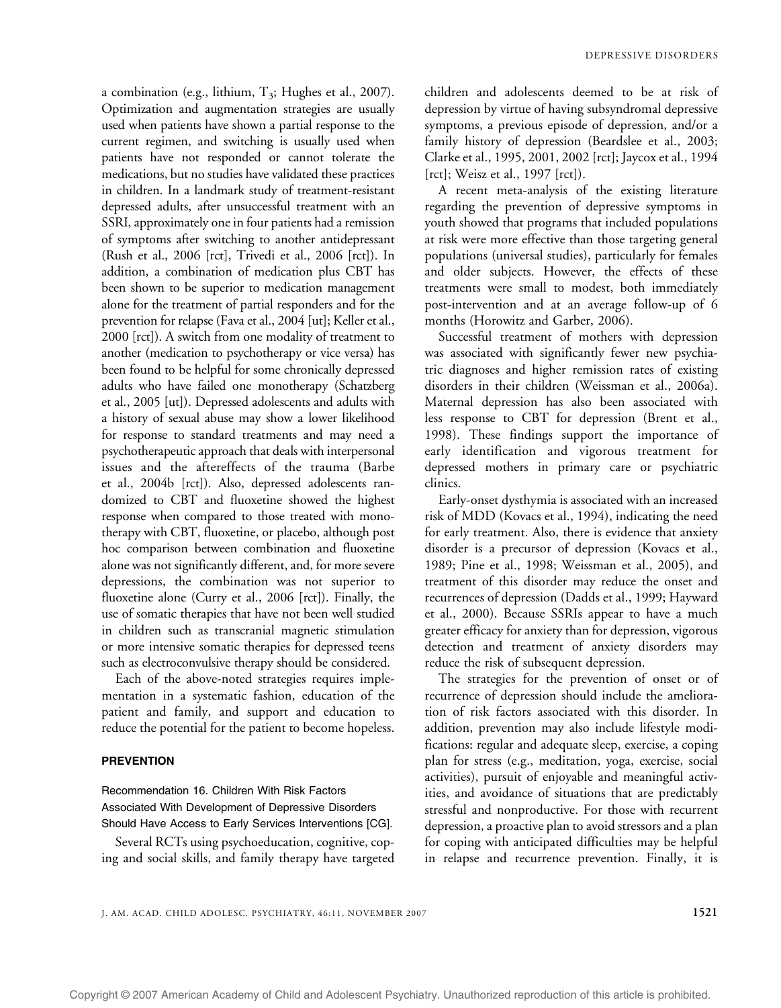a combination (e.g., lithium,  $T_3$ ; Hughes et al., 2007). Optimization and augmentation strategies are usually used when patients have shown a partial response to the current regimen, and switching is usually used when patients have not responded or cannot tolerate the medications, but no studies have validated these practices in children. In a landmark study of treatment-resistant depressed adults, after unsuccessful treatment with an SSRI, approximately one in four patients had a remission of symptoms after switching to another antidepressant (Rush et al., 2006 [rct], Trivedi et al., 2006 [rct]). In addition, a combination of medication plus CBT has been shown to be superior to medication management alone for the treatment of partial responders and for the prevention for relapse (Fava et al., 2004 [ut]; Keller et al., 2000 [rct]). A switch from one modality of treatment to another (medication to psychotherapy or vice versa) has been found to be helpful for some chronically depressed adults who have failed one monotherapy (Schatzberg et al., 2005 [ut]). Depressed adolescents and adults with a history of sexual abuse may show a lower likelihood for response to standard treatments and may need a psychotherapeutic approach that deals with interpersonal issues and the aftereffects of the trauma (Barbe et al., 2004b [rct]). Also, depressed adolescents randomized to CBT and fluoxetine showed the highest response when compared to those treated with monotherapy with CBT, fluoxetine, or placebo, although post hoc comparison between combination and fluoxetine alone was not significantly different, and, for more severe depressions, the combination was not superior to fluoxetine alone (Curry et al., 2006 [rct]). Finally, the use of somatic therapies that have not been well studied in children such as transcranial magnetic stimulation or more intensive somatic therapies for depressed teens such as electroconvulsive therapy should be considered.

Each of the above-noted strategies requires implementation in a systematic fashion, education of the patient and family, and support and education to reduce the potential for the patient to become hopeless.

## **PREVENTION**

Recommendation 16. Children With Risk Factors Associated With Development of Depressive Disorders Should Have Access to Early Services Interventions [CG].

Several RCTs using psychoeducation, cognitive, coping and social skills, and family therapy have targeted children and adolescents deemed to be at risk of depression by virtue of having subsyndromal depressive symptoms, a previous episode of depression, and/or a family history of depression (Beardslee et al., 2003; Clarke et al., 1995, 2001, 2002 [rct]; Jaycox et al., 1994 [rct]; Weisz et al., 1997 [rct]).

A recent meta-analysis of the existing literature regarding the prevention of depressive symptoms in youth showed that programs that included populations at risk were more effective than those targeting general populations (universal studies), particularly for females and older subjects. However, the effects of these treatments were small to modest, both immediately post-intervention and at an average follow-up of 6 months (Horowitz and Garber, 2006).

Successful treatment of mothers with depression was associated with significantly fewer new psychiatric diagnoses and higher remission rates of existing disorders in their children (Weissman et al., 2006a). Maternal depression has also been associated with less response to CBT for depression (Brent et al., 1998). These findings support the importance of early identification and vigorous treatment for depressed mothers in primary care or psychiatric clinics.

Early-onset dysthymia is associated with an increased risk of MDD (Kovacs et al., 1994), indicating the need for early treatment. Also, there is evidence that anxiety disorder is a precursor of depression (Kovacs et al., 1989; Pine et al., 1998; Weissman et al., 2005), and treatment of this disorder may reduce the onset and recurrences of depression (Dadds et al., 1999; Hayward et al., 2000). Because SSRIs appear to have a much greater efficacy for anxiety than for depression, vigorous detection and treatment of anxiety disorders may reduce the risk of subsequent depression.

The strategies for the prevention of onset or of recurrence of depression should include the amelioration of risk factors associated with this disorder. In addition, prevention may also include lifestyle modifications: regular and adequate sleep, exercise, a coping plan for stress (e.g., meditation, yoga, exercise, social activities), pursuit of enjoyable and meaningful activities, and avoidance of situations that are predictably stressful and nonproductive. For those with recurrent depression, a proactive plan to avoid stressors and a plan for coping with anticipated difficulties may be helpful in relapse and recurrence prevention. Finally, it is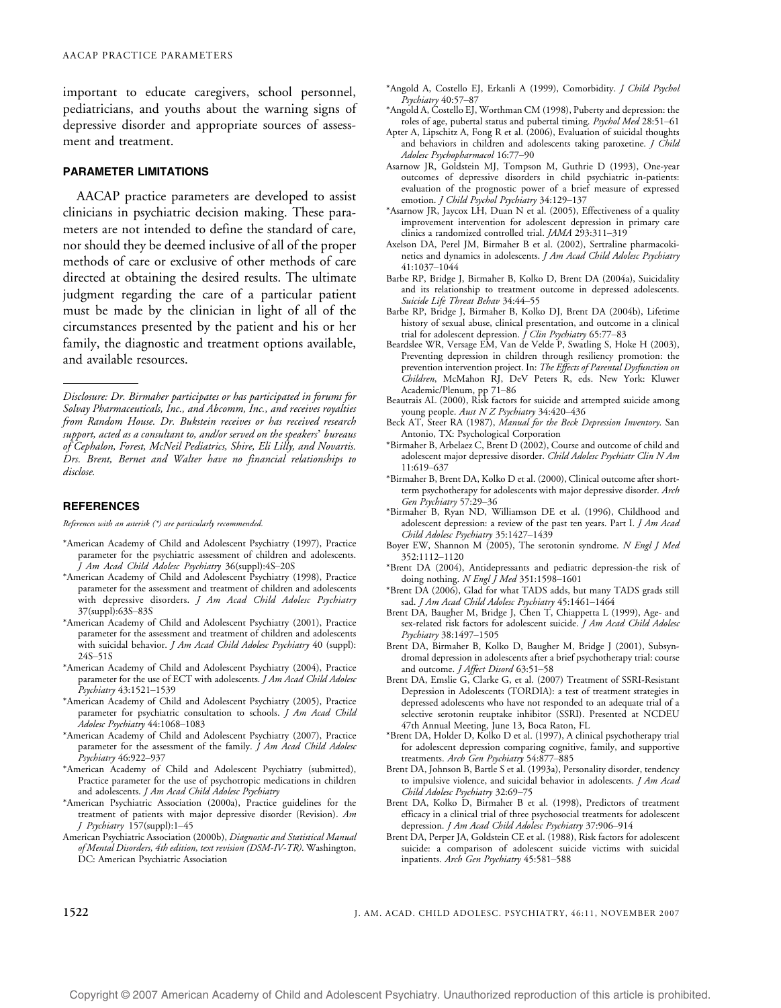important to educate caregivers, school personnel, pediatricians, and youths about the warning signs of depressive disorder and appropriate sources of assessment and treatment.

#### PARAMETER LIMITATIONS

AACAP practice parameters are developed to assist clinicians in psychiatric decision making. These parameters are not intended to define the standard of care, nor should they be deemed inclusive of all of the proper methods of care or exclusive of other methods of care directed at obtaining the desired results. The ultimate judgment regarding the care of a particular patient must be made by the clinician in light of all of the circumstances presented by the patient and his or her family, the diagnostic and treatment options available, and available resources.

#### REFERENCES

References with an asterisk (\*) are particularly recommended.

- \*American Academy of Child and Adolescent Psychiatry (1997), Practice parameter for the psychiatric assessment of children and adolescents. J Am Acad Child Adolesc Psychiatry 36(suppl):4S-20S
- \*American Academy of Child and Adolescent Psychiatry (1998), Practice parameter for the assessment and treatment of children and adolescents with depressive disorders. J Am Acad Child Adolesc Psychiatry 37(suppl):63S-83S
- \*American Academy of Child and Adolescent Psychiatry (2001), Practice parameter for the assessment and treatment of children and adolescents with suicidal behavior. *J Am Acad Child Adolesc Psychiatry* 40 (suppl):  $24S - 51S$
- \*American Academy of Child and Adolescent Psychiatry (2004), Practice parameter for the use of ECT with adolescents. J Am Acad Child Adolesc Psychiatry 43:1521–1539
- \*American Academy of Child and Adolescent Psychiatry (2005), Practice parameter for psychiatric consultation to schools. J Am Acad Child Adolesc Psychiatry 44:1068-1083
- \*American Academy of Child and Adolescent Psychiatry (2007), Practice parameter for the assessment of the family.  $\dot{J}$  Am Acad Child Adolesc Psychiatry 46:922-937
- \*American Academy of Child and Adolescent Psychiatry (submitted), Practice parameter for the use of psychotropic medications in children and adolescents. J Am Acad Child Adolesc Psychiatry
- \*American Psychiatric Association (2000a), Practice guidelines for the treatment of patients with major depressive disorder (Revision). Am J Psychiatry 157(suppl):1-45
- American Psychiatric Association (2000b), Diagnostic and Statistical Manual of Mental Disorders, 4th edition, text revision (DSM-IV-TR). Washington, DC: American Psychiatric Association
- \*Angold A, Costello EJ, Erkanli A (1999), Comorbidity. J Child Psychol Psychiatry 40:57-87
- \*Angold A, Costello EJ, Worthman CM (1998), Puberty and depression: the roles of age, pubertal status and pubertal timing. Psychol Med 28:51-61
- Apter A, Lipschitz A, Fong R et al. (2006), Evaluation of suicidal thoughts and behaviors in children and adolescents taking paroxetine. J Child Adolesc Psychopharmacol 16:77-90
- Asarnow JR, Goldstein MJ, Tompson M, Guthrie D (1993), One-year outcomes of depressive disorders in child psychiatric in-patients: evaluation of the prognostic power of a brief measure of expressed emotion. J Child Psychol Psychiatry 34:129-137
- \*Asarnow JR, Jaycox LH, Duan N et al. (2005), Effectiveness of a quality improvement intervention for adolescent depression in primary care clinics a randomized controlled trial.  $JAMA$  293:311-319
- Axelson DA, Perel JM, Birmaher B et al. (2002), Sertraline pharmacokinetics and dynamics in adolescents. J Am Acad Child Adolesc Psychiatry 41:1037-1044
- Barbe RP, Bridge J, Birmaher B, Kolko D, Brent DA (2004a), Suicidality and its relationship to treatment outcome in depressed adolescents. Suicide Life Threat Behav 34:44–55
- Barbe RP, Bridge J, Birmaher B, Kolko DJ, Brent DA (2004b), Lifetime history of sexual abuse, clinical presentation, and outcome in a clinical<br>trial for adolescent depression. *J Clin Psychiatry* 65:77–83
- Beardslee WR, Versage EM, Van de Velde P, Swatling S, Hoke H (2003), Preventing depression in children through resiliency promotion: the prevention intervention project. In: The Effects of Parental Dysfunction on Children, McMahon RJ, DeV Peters R, eds. New York: Kluwer Academic/Plenum, pp 71-86
- Beautrais AL (2000), Risk factors for suicide and attempted suicide among young people. Aust N Z Psychiatry 34:420–436
- Beck AT, Steer RA (1987), Manual for the Beck Depression Inventory. San Antonio, TX: Psychological Corporation
- \*Birmaher B, Arbelaez C, Brent D (2002), Course and outcome of child and adolescent major depressive disorder. Child Adolesc Psychiatr Clin N Am 11:619-637
- \*Birmaher B, Brent DA, Kolko D et al. (2000), Clinical outcome after shortterm psychotherapy for adolescents with major depressive disorder. Arch Gen Psychiatry 57:29-36
- \*Birmaher B, Ryan ND, Williamson DE et al. (1996), Childhood and adolescent depression: a review of the past ten years. Part I. J Am Acad Child Adolesc Psychiatry 35:1427-1439
- Boyer EW, Shannon M (2005), The serotonin syndrome. N Engl J Med 352:1112-1120
- \*Brent DA (2004), Antidepressants and pediatric depression-the risk of doing nothing.  $N$  Engl J Med 351:1598-1601
- \*Brent DA (2006), Glad for what TADS adds, but many TADS grads still sad. J Am Acad Child Adolesc Psychiatry 45:1461-1464
- Brent DA, Baugher M, Bridge J, Chen T, Chiappetta L (1999), Age- and sex-related risk factors for adolescent suicide. J Am Acad Child Adolesc Psychiatry 38:1497-1505
- Brent DA, Birmaher B, Kolko D, Baugher M, Bridge J (2001), Subsyndromal depression in adolescents after a brief psychotherapy trial: course and outcome. J Affect Disord 63:51-58
- Brent DA, Emslie G, Clarke G, et al. (2007) Treatment of SSRI-Resistant Depression in Adolescents (TORDIA): a test of treatment strategies in depressed adolescents who have not responded to an adequate trial of a selective serotonin reuptake inhibitor (SSRI). Presented at NCDEU 47th Annual Meeting, June 13, Boca Raton, FL
- \*Brent DA, Holder D, Kolko D et al. (1997), A clinical psychotherapy trial for adolescent depression comparing cognitive, family, and supportive treatments. Arch Gen Psychiatry 54:877-885
- Brent DA, Johnson B, Bartle S et al. (1993a), Personality disorder, tendency to impulsive violence, and suicidal behavior in adolescents. J Am Acad Child Adolesc Psychiatry 32:69-75
- Brent DA, Kolko D, Birmaher B et al. (1998), Predictors of treatment efficacy in a clinical trial of three psychosocial treatments for adolescent depression. J Am Acad Child Adolesc Psychiatry 37:906-914
- Brent DA, Perper JA, Goldstein CE et al. (1988), Risk factors for adolescent suicide: a comparison of adolescent suicide victims with suicidal inpatients. Arch Gen Psychiatry 45:581-588

1522 J. AM. ACAD. CHILD ADOLESC. PSYCHIATRY, 46:11, NOVEMBER 2007

Disclosure: Dr. Birmaher participates or has participated in forums for Solvay Pharmaceuticals, Inc., and Abcomm, Inc., and receives royalties from Random House. Dr. Bukstein receives or has received research support, acted as a consultant to, and/or served on the speakers' bureaus of Cephalon, Forest, McNeil Pediatrics, Shire, Eli Lilly, and Novartis. Drs. Brent, Bernet and Walter have no financial relationships to disclose.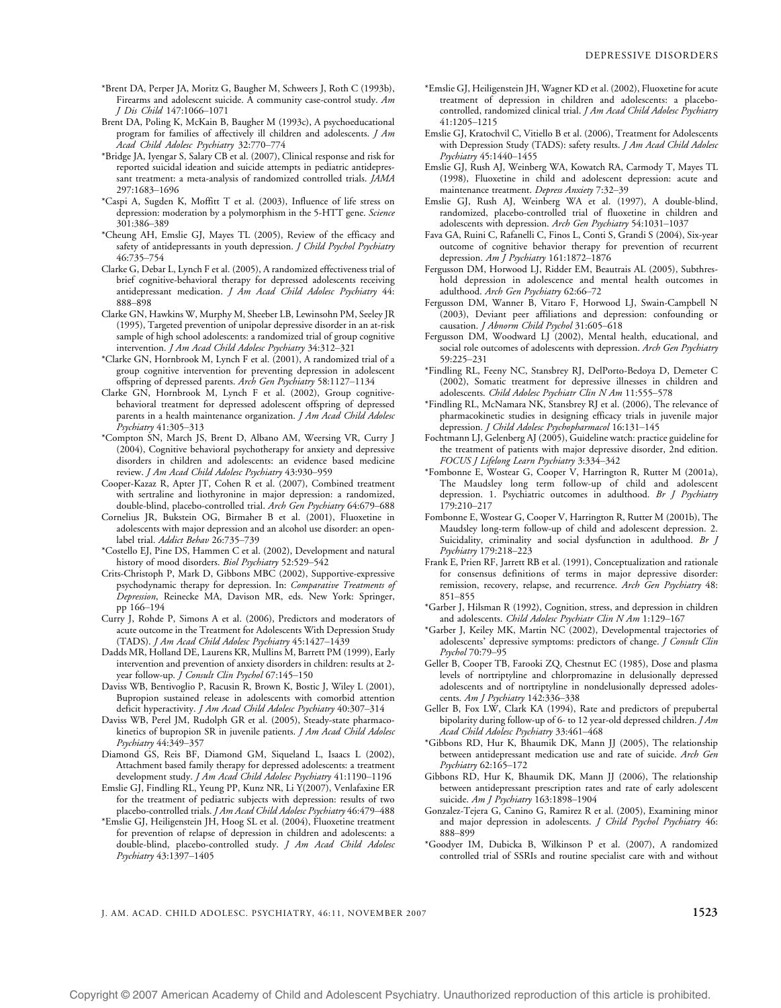- \*Brent DA, Perper JA, Moritz G, Baugher M, Schweers J, Roth C (1993b), Firearms and adolescent suicide. A community case-control study. Am J Dis Child 147:1066-1071
- Brent DA, Poling K, McKain B, Baugher M (1993c), A psychoeducational program for families of affectively ill children and adolescents. J Am Acad Child Adolesc Psychiatry 32:770-774
- \*Bridge JA, Iyengar S, Salary CB et al. (2007), Clinical response and risk for reported suicidal ideation and suicide attempts in pediatric antidepressant treatment: a meta-analysis of randomized controlled trials. JAMA 297:1683-1696
- \*Caspi A, Sugden K, Moffitt T et al. (2003), Influence of life stress on depression: moderation by a polymorphism in the 5-HTT gene. Science 301:386-389
- \*Cheung AH, Emslie GJ, Mayes TL (2005), Review of the efficacy and safety of antidepressants in youth depression. J Child Psychol Psychiatry 46:735-754
- Clarke G, Debar L, Lynch F et al. (2005), A randomized effectiveness trial of brief cognitive-behavioral therapy for depressed adolescents receiving antidepressant medication. J Am Acad Child Adolesc Psychiatry 44:  $888 - 898$
- Clarke GN, Hawkins W, Murphy M, Sheeber LB, Lewinsohn PM, Seeley JR (1995), Targeted prevention of unipolar depressive disorder in an at-risk sample of high school adolescents: a randomized trial of group cognitive intervention. J Am Acad Child Adolesc Psychiatry 34:312-321
- \*Clarke GN, Hornbrook M, Lynch F et al. (2001), A randomized trial of a group cognitive intervention for preventing depression in adolescent offspring of depressed parents. Arch Gen Psychiatry 58:1127-1134
- Clarke GN, Hornbrook M, Lynch F et al. (2002), Group cognitivebehavioral treatment for depressed adolescent offspring of depressed parents in a health maintenance organization. J Am Acad Child Adolesc  $P$ sychiatry 41:305-313
- \*Compton SN, March JS, Brent D, Albano AM, Weersing VR, Curry J (2004), Cognitive behavioral psychotherapy for anxiety and depressive disorders in children and adolescents: an evidence based medicine review. J Am Acad Child Adolesc Psychiatry 43:930-959
- Cooper-Kazaz R, Apter JT, Cohen R et al. (2007), Combined treatment with sertraline and liothyronine in major depression: a randomized, double-blind, placebo-controlled trial. Arch Gen Psychiatry 64:679-688
- Cornelius JR, Bukstein OG, Birmaher B et al. (2001), Fluoxetine in adolescents with major depression and an alcohol use disorder: an openlabel trial. Addict Behav 26:735-739
- \*Costello EJ, Pine DS, Hammen C et al. (2002), Development and natural history of mood disorders. Biol Psychiatry 52:529-542
- Crits-Christoph P, Mark D, Gibbons MBC (2002), Supportive-expressive psychodynamic therapy for depression. In: Comparative Treatments of Depression, Reinecke MA, Davison MR, eds. New York: Springer, pp 166-194
- Curry J, Rohde P, Simons A et al. (2006), Predictors and moderators of acute outcome in the Treatment for Adolescents With Depression Study (TADS). J Am Acad Child Adolesc Psychiatry 45:1427-1439
- Dadds MR, Holland DE, Laurens KR, Mullins M, Barrett PM (1999), Early intervention and prevention of anxiety disorders in children: results at 2 year follow-up. *J Consult Clin Psychol* 67:145-150
- Daviss WB, Bentivoglio P, Racusin R, Brown K, Bostic J, Wiley L (2001), Bupropion sustained release in adolescents with comorbid attention deficit hyperactivity. J Am Acad Child Adolesc Psychiatry 40:307-314
- Daviss WB, Perel JM, Rudolph GR et al. (2005), Steady-state pharmacokinetics of bupropion SR in juvenile patients. J Am Acad Child Adolesc Psychiatry 44:349-357
- Diamond GS, Reis BF, Diamond GM, Siqueland L, Isaacs L (2002), Attachment based family therapy for depressed adolescents: a treatment development study. *J Am Acad Child Adolesc Psychiatry*  $41:1190-1196$
- Emslie GJ, Findling RL, Yeung PP, Kunz NR, Li Y(2007), Venlafaxine ER for the treatment of pediatric subjects with depression: results of two placebo-controlled trials. J Am Acad Child Adolesc Psychiatry 46:479-488
- \*Emslie GJ, Heiligenstein JH, Hoog SL et al. (2004), Fluoxetine treatment for prevention of relapse of depression in children and adolescents: a double-blind, placebo-controlled study. J Am Acad Child Adolesc Psychiatry 43:1397-1405
- \*Emslie GJ, Heiligenstein JH, Wagner KD et al. (2002), Fluoxetine for acute treatment of depression in children and adolescents: a placebocontrolled, randomized clinical trial. J Am Acad Child Adolesc Psychiatry 41:1205-1215
- Emslie GJ, Kratochvil C, Vitiello B et al. (2006), Treatment for Adolescents with Depression Study (TADS): safety results. J Am Acad Child Adolesc Psychiatry 45:1440-1455
- Emslie GJ, Rush AJ, Weinberg WA, Kowatch RA, Carmody T, Mayes TL (1998), Fluoxetine in child and adolescent depression: acute and maintenance treatment. Depress Anxiety 7:32-39
- Emslie GJ, Rush AJ, Weinberg WA et al. (1997), A double-blind, randomized, placebo-controlled trial of fluoxetine in children and adolescents with depression. Arch Gen Psychiatry 54:1031-1037
- Fava GA, Ruini C, Rafanelli C, Finos L, Conti S, Grandi S (2004), Six-year outcome of cognitive behavior therapy for prevention of recurrent depression. Am J Psychiatry  $161:1872-1876$
- Fergusson DM, Horwood LJ, Ridder EM, Beautrais AL (2005), Subthreshold depression in adolescence and mental health outcomes in adulthood. Arch Gen Psychiatry 62:66-72
- Fergusson DM, Wanner B, Vitaro F, Horwood LJ, Swain-Campbell N (2003), Deviant peer affiliations and depression: confounding or causation. J Abnorm Child Psychol 31:605-618
- Fergusson DM, Woodward LJ (2002), Mental health, educational, and social role outcomes of adolescents with depression. Arch Gen Psychiatry 59:225-231
- \*Findling RL, Feeny NC, Stansbrey RJ, DelPorto-Bedoya D, Demeter C (2002), Somatic treatment for depressive illnesses in children and adolescents. Child Adolesc Psychiatr Clin N Am 11:555-578
- \*Findling RL, McNamara NK, Stansbrey RJ et al. (2006), The relevance of pharmacokinetic studies in designing efficacy trials in juvenile major depression. J Child Adolesc Psychopharmacol 16:131-145
- Fochtmann LJ, Gelenberg AJ (2005), Guideline watch: practice guideline for the treatment of patients with major depressive disorder, 2nd edition. FOCUS J Lifelong Learn Psychiatry 3:334-342
- \*Fombonne E, Wostear G, Cooper V, Harrington R, Rutter M (2001a), The Maudsley long term follow-up of child and adolescent depression. 1. Psychiatric outcomes in adulthood. Br J Psychiatry 179:210-217
- Fombonne E, Wostear G, Cooper V, Harrington R, Rutter M (2001b), The Maudsley long-term follow-up of child and adolescent depression. 2. Suicidality, criminality and social dysfunction in adulthood. Br J Psychiatry 179:218-223
- Frank E, Prien RF, Jarrett RB et al. (1991), Conceptualization and rationale for consensus definitions of terms in major depressive disorder: remission, recovery, relapse, and recurrence. Arch Gen Psychiatry 48:  $851 - 855$
- \*Garber J, Hilsman R (1992), Cognition, stress, and depression in children and adolescents. Child Adolesc Psychiatr Clin N Am 1:129-167
- \*Garber J, Keiley MK, Martin NC (2002), Developmental trajectories of adolescents' depressive symptoms: predictors of change. J Consult Clin Psychol 70:79-95
- Geller B, Cooper TB, Farooki ZQ, Chestnut EC (1985), Dose and plasma levels of nortriptyline and chlorpromazine in delusionally depressed adolescents and of nortriptyline in nondelusionally depressed adolescents. Am J Psychiatry 142:336-338
- Geller B, Fox LW, Clark KA (1994), Rate and predictors of prepubertal bipolarity during follow-up of 6- to 12 year-old depressed children. J Am Acad Child Adolesc Psychiatry 33:461-468
- \*Gibbons RD, Hur K, Bhaumik DK, Mann JJ (2005), The relationship between antidepressant medication use and rate of suicide. Arch Gen Psychiatry 62:165-172
- Gibbons RD, Hur K, Bhaumik DK, Mann JJ (2006), The relationship between antidepressant prescription rates and rate of early adolescent suicide. Am J Psychiatry 163:1898-1904
- Gonzalez-Tejera G, Canino G, Ramirez R et al. (2005), Examining minor and major depression in adolescents. J Child Psychol Psychiatry 46: 888-899
- \*Goodyer IM, Dubicka B, Wilkinson P et al. (2007), A randomized controlled trial of SSRIs and routine specialist care with and without

 $J.$  AM. ACAD. CHILD ADOLESC. PSYCHIATRY,  $46:11$ , NOVEMBER 2007 1523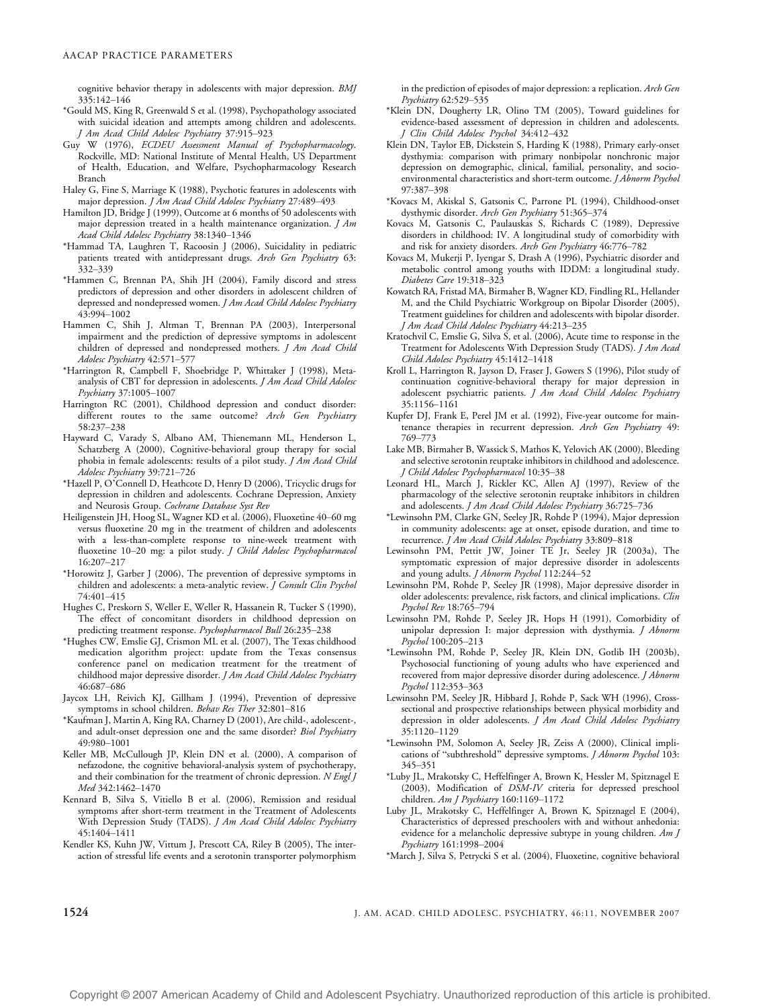cognitive behavior therapy in adolescents with major depression. BMJ 335:142-146

- \*Gould MS, King R, Greenwald S et al. (1998), Psychopathology associated with suicidal ideation and attempts among children and adolescents. J Am Acad Child Adolesc Psychiatry 37:915-923
- Guy W (1976), ECDEU Assessment Manual of Psychopharmacology. Rockville, MD: National Institute of Mental Health, US Department of Health, Education, and Welfare, Psychopharmacology Research Branch
- Haley G, Fine S, Marriage K (1988), Psychotic features in adolescents with major depression. J Am Acad Child Adolesc Psychiatry 27:489-493
- Hamilton JD, Bridge J (1999), Outcome at 6 months of 50 adolescents with major depression treated in a health maintenance organization. J Am Acad Child Adolesc Psychiatry 38:1340-1346
- \*Hammad TA, Laughren T, Racoosin J (2006), Suicidality in pediatric patients treated with antidepressant drugs. Arch Gen Psychiatry 63:  $332 - 339$
- \*Hammen C, Brennan PA, Shih JH (2004), Family discord and stress predictors of depression and other disorders in adolescent children of depressed and nondepressed women. J Am Acad Child Adolesc Psychiatry 43:994-1002
- Hammen C, Shih J, Altman T, Brennan PA (2003), Interpersonal impairment and the prediction of depressive symptoms in adolescent children of depressed and nondepressed mothers. J Am Acad Child Adolesc Psychiatry 42:571-577
- \*Harrington R, Campbell F, Shoebridge P, Whittaker J (1998), Metaanalysis of CBT for depression in adolescents. *J Am Acad Child Adolesc* Psychiatry 37:1005-1007
- Harrington RC (2001), Childhood depression and conduct disorder: different routes to the same outcome? Arch Gen Psychiatry 58:237-238
- Hayward C, Varady S, Albano AM, Thienemann ML, Henderson L, Schatzberg A (2000), Cognitive-behavioral group therapy for social phobia in female adolescents: results of a pilot study. J Am Acad Child Adolesc Psychiatry 39:721-726
- \*Hazell P, O\_Connell D, Heathcote D, Henry D (2006), Tricyclic drugs for depression in children and adolescents. Cochrane Depression, Anxiety and Neurosis Group. Cochrane Database Syst Rev
- Heiligenstein JH, Hoog SL, Wagner KD et al. (2006), Fluoxetine 40-60 mg versus fluoxetine 20 mg in the treatment of children and adolescents with a less-than-complete response to nine-week treatment with fluoxetine 10-20 mg: a pilot study. J Child Adolesc Psychopharmacol  $16:207 - 217$
- \*Horowitz J, Garber J (2006), The prevention of depressive symptoms in children and adolescents: a meta-analytic review. J Consult Clin Psychol 74:401-415
- Hughes C, Preskorn S, Weller E, Weller R, Hassanein R, Tucker S (1990), The effect of concomitant disorders in childhood depression on predicting treatment response. Psychopharmacol Bull 26:235-238
- \*Hughes CW, Emslie GJ, Crismon ML et al. (2007), The Texas childhood medication algorithm project: update from the Texas consensus conference panel on medication treatment for the treatment of childhood major depressive disorder. J Am Acad Child Adolesc Psychiatry 46:687–686
- Jaycox LH, Reivich KJ, Gillham J (1994), Prevention of depressive symptoms in school children. Behav Res Ther 32:801-816
- \*Kaufman J, Martin A, King RA, Charney D (2001), Are child-, adolescent-, and adult-onset depression one and the same disorder? Biol Psychiatry 49:980-1001
- Keller MB, McCullough JP, Klein DN et al. (2000), A comparison of nefazodone, the cognitive behavioral-analysis system of psychotherapy, and their combination for the treatment of chronic depression. N Engl J Med 342:1462-1470
- Kennard B, Silva S, Vitiello B et al. (2006), Remission and residual symptoms after short-term treatment in the Treatment of Adolescents With Depression Study (TADS). J Am Acad Child Adolesc Psychiatry 45:1404-1411
- Kendler KS, Kuhn JW, Vittum J, Prescott CA, Riley B (2005), The interaction of stressful life events and a serotonin transporter polymorphism

in the prediction of episodes of major depression: a replication. Arch Gen Psychiatry 62:529-535

- \*Klein DN, Dougherty LR, Olino TM (2005), Toward guidelines for evidence-based assessment of depression in children and adolescents. J Clin Child Adolesc Psychol 34:412-432
- Klein DN, Taylor EB, Dickstein S, Harding K (1988), Primary early-onset dysthymia: comparison with primary nonbipolar nonchronic major depression on demographic, clinical, familial, personality, and socioenvironmental characteristics and short-term outcome. J Abnorm Psychol 97:387-398
- \*Kovacs M, Akiskal S, Gatsonis C, Parrone PL (1994), Childhood-onset dysthymic disorder. Arch Gen Psychiatry 51:365-374
- Kovacs M, Gatsonis C, Paulauskas S, Richards C (1989), Depressive disorders in childhood: IV. A longitudinal study of comorbidity with and risk for anxiety disorders. Arch Gen Psychiatry 46:776-782
- Kovacs M, Mukerji P, Iyengar S, Drash A (1996), Psychiatric disorder and metabolic control among youths with IDDM: a longitudinal study. Diabetes Care 19:318-323
- Kowatch RA, Fristad MA, Birmaher B, Wagner KD, Findling RL, Hellander M, and the Child Psychiatric Workgroup on Bipolar Disorder (2005), Treatment guidelines for children and adolescents with bipolar disorder. J Am Acad Child Adolesc Psychiatry 44:213-235
- Kratochvil C, Emslie G, Silva S, et al. (2006), Acute time to response in the Treatment for Adolescents With Depression Study (TADS). J Am Acad Child Adolesc Psychiatry 45:1412-1418
- Kroll L, Harrington R, Jayson D, Fraser J, Gowers S (1996), Pilot study of continuation cognitive-behavioral therapy for major depression in adolescent psychiatric patients. J Am Acad Child Adolesc Psychiatry 35:1156-1161
- Kupfer DJ, Frank E, Perel JM et al. (1992), Five-year outcome for maintenance therapies in recurrent depression. Arch Gen Psychiatry 49: 769-773
- Lake MB, Birmaher B, Wassick S, Mathos K, Yelovich AK (2000), Bleeding and selective serotonin reuptake inhibitors in childhood and adolescence. J Child Adolesc Psychopharmacol 10:35-38
- Leonard HL, March J, Rickler KC, Allen AJ (1997), Review of the pharmacology of the selective serotonin reuptake inhibitors in children and adolescents. J Am Acad Child Adolesc Psychiatry 36:725-736
- \*Lewinsohn PM, Clarke GN, Seeley JR, Rohde P (1994), Major depression in community adolescents: age at onset, episode duration, and time to recurrence. J Am Acad Child Adolesc Psychiatry 33:809-818
- Lewinsohn PM, Pettit JW, Joiner TE Jr, Seeley JR (2003a), The symptomatic expression of major depressive disorder in adolescents and young adults. *J Abnorm Psychol* 112:244-52
- Lewinsohn PM, Rohde P, Seeley JR (1998), Major depressive disorder in older adolescents: prevalence, risk factors, and clinical implications. Clin Psychol Rev 18:765-794
- Lewinsohn PM, Rohde P, Seeley JR, Hops H (1991), Comorbidity of unipolar depression I: major depression with dysthymia. *J Abnorm* Psychol 100:205-213
- \*Lewinsohn PM, Rohde P, Seeley JR, Klein DN, Gotlib IH (2003b), Psychosocial functioning of young adults who have experienced and recovered from major depressive disorder during adolescence. J Abnorm Psychol 112:353-363
- Lewinsohn PM, Seeley JR, Hibbard J, Rohde P, Sack WH (1996), Crosssectional and prospective relationships between physical morbidity and depression in older adolescents. J Am Acad Child Adolesc Psychiatry 35:1120-1129
- \*Lewinsohn PM, Solomon A, Seeley JR, Zeiss A (2000), Clinical implications of "subthreshold" depressive symptoms. J Abnorm Psychol 103: 345-351
- \*Luby JL, Mrakotsky C, Heffelfinger A, Brown K, Hessler M, Spitznagel E (2003), Modification of DSM-IV criteria for depressed preschool children. Am J Psychiatry 160:1169-1172
- Luby JL, Mrakotsky C, Heffelfinger A, Brown K, Spitznagel E (2004), Characteristics of depressed preschoolers with and without anhedonia: evidence for a melancholic depressive subtype in young children. Am J Psychiatry 161:1998-2004
- \*March J, Silva S, Petrycki S et al. (2004), Fluoxetine, cognitive behavioral

1524 J. AM. ACAD. CHILD ADOLESC. PSYCHIATRY, 46:11, NOVEMBER 2007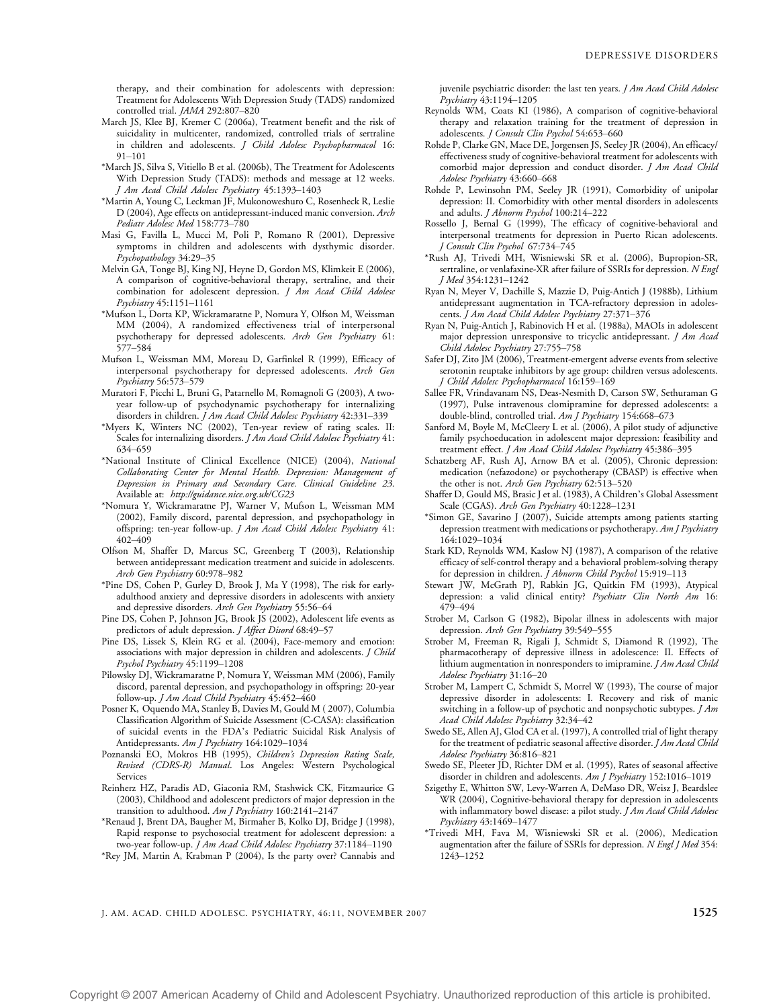therapy, and their combination for adolescents with depression: Treatment for Adolescents With Depression Study (TADS) randomized controlled trial. JAMA 292:807-820

- March JS, Klee BJ, Kremer C (2006a), Treatment benefit and the risk of suicidality in multicenter, randomized, controlled trials of sertraline in children and adolescents. J Child Adolesc Psychopharmacol 16:  $91 - 101$
- \*March JS, Silva S, Vitiello B et al. (2006b), The Treatment for Adolescents With Depression Study (TADS): methods and message at 12 weeks. J Am Acad Child Adolesc Psychiatry 45:1393–1403
- \*Martin A, Young C, Leckman JF, Mukonoweshuro C, Rosenheck R, Leslie D (2004), Age effects on antidepressant-induced manic conversion. Arch Pediatr Adolesc Med 158:773-780
- Masi G, Favilla L, Mucci M, Poli P, Romano R (2001), Depressive symptoms in children and adolescents with dysthymic disorder. Psychopathology 34:29-35
- Melvin GA, Tonge BJ, King NJ, Heyne D, Gordon MS, Klimkeit E (2006), A comparison of cognitive-behavioral therapy, sertraline, and their combination for adolescent depression. J Am Acad Child Adolesc Psychiatry 45:1151-1161
- \*Mufson L, Dorta KP, Wickramaratne P, Nomura Y, Olfson M, Weissman MM (2004), A randomized effectiveness trial of interpersonal psychotherapy for depressed adolescents. Arch Gen Psychiatry 61: 577-584
- Mufson L, Weissman MM, Moreau D, Garfinkel R (1999), Efficacy of interpersonal psychotherapy for depressed adolescents. Arch Gen Psychiatry 56:573-579
- Muratori F, Picchi L, Bruni G, Patarnello M, Romagnoli G (2003), A twoyear follow-up of psychodynamic psychotherapy for internalizing disorders in children. J Am Acad Child Adolesc Psychiatry 42:331-339
- \*Myers K, Winters NC (2002), Ten-year review of rating scales. II: Scales for internalizing disorders. *J Am Acad Child Adolesc Psychiatry* 41: 634-659
- \*National Institute of Clinical Excellence (NICE) (2004), National Collaborating Center for Mental Health. Depression: Management of Depression in Primary and Secondary Care. Clinical Guideline 23. Available at: http://guidance.nice.org.uk/CG23
- \*Nomura Y, Wickramaratne PJ, Warner V, Mufson L, Weissman MM (2002), Family discord, parental depression, and psychopathology in offspring: ten-year follow-up. J Am Acad Child Adolesc Psychiatry 41:  $402 - 409$
- Olfson M, Shaffer D, Marcus SC, Greenberg T (2003), Relationship between antidepressant medication treatment and suicide in adolescents. Arch Gen Psychiatry 60:978-982
- \*Pine DS, Cohen P, Gurley D, Brook J, Ma Y (1998), The risk for earlyadulthood anxiety and depressive disorders in adolescents with anxiety and depressive disorders. Arch Gen Psychiatry 55:56-64
- Pine DS, Cohen P, Johnson JG, Brook JS (2002), Adolescent life events as predictors of adult depression. *J Affect Disord* 68:49-57
- Pine DS, Lissek S, Klein RG et al. (2004), Face-memory and emotion: associations with major depression in children and adolescents. J Child Psychol Psychiatry 45:1199-1208
- Pilowsky DJ, Wickramaratne P, Nomura Y, Weissman MM (2006), Family discord, parental depression, and psychopathology in offspring: 20-year follow-up. J Am Acad Child Psychiatry 45:452-460
- Posner K, Oquendo MA, Stanley B, Davies M, Gould M ( 2007), Columbia Classification Algorithm of Suicide Assessment (C-CASA): classification of suicidal events in the FDA's Pediatric Suicidal Risk Analysis of Antidepressants. Am J Psychiatry 164:1029-1034
- Poznanski EO, Mokros HB (1995), Children's Depression Rating Scale, Revised (CDRS-R) Manual. Los Angeles: Western Psychological Services
- Reinherz HZ, Paradis AD, Giaconia RM, Stashwick CK, Fitzmaurice G (2003), Childhood and adolescent predictors of major depression in the transition to adulthood. Am J Psychiatry  $160:2141-2147$
- \*Renaud J, Brent DA, Baugher M, Birmaher B, Kolko DJ, Bridge J (1998), Rapid response to psychosocial treatment for adolescent depression: a two-year follow-up. J Am Acad Child Adolesc Psychiatry 37:1184-1190 \*Rey JM, Martin A, Krabman P (2004), Is the party over? Cannabis and

juvenile psychiatric disorder: the last ten years. J Am Acad Child Adolesc Psychiatry 43:1194-1205

- Reynolds WM, Coats KI (1986), A comparison of cognitive-behavioral therapy and relaxation training for the treatment of depression in adolescents. J Consult Clin Psychol 54:653-660
- Rohde P, Clarke GN, Mace DE, Jorgensen JS, Seeley JR (2004), An efficacy/ effectiveness study of cognitive-behavioral treatment for adolescents with comorbid major depression and conduct disorder. J Am Acad Child Adolesc Psychiatry 43:660-668
- Rohde P, Lewinsohn PM, Seeley JR (1991), Comorbidity of unipolar depression: II. Comorbidity with other mental disorders in adolescents and adults. *J Abnorm Psychol* 100:214-222
- Rossello J, Bernal G (1999), The efficacy of cognitive-behavioral and interpersonal treatments for depression in Puerto Rican adolescents. J Consult Clin Psychol 67:734-745
- \*Rush AJ, Trivedi MH, Wisniewski SR et al. (2006), Bupropion-SR, sertraline, or venlafaxine-XR after failure of SSRIs for depression. N Engl J Med 354:1231-1242
- Ryan N, Meyer V, Dachille S, Mazzie D, Puig-Antich J (1988b), Lithium antidepressant augmentation in TCA-refractory depression in adolescents. J Am Acad Child Adolesc Psychiatry 27:371-376
- Ryan N, Puig-Antich J, Rabinovich H et al. (1988a), MAOIs in adolescent major depression unresponsive to tricyclic antidepressant. J Am Acad Child Adolesc Psychiatry 27:755-758
- Safer DJ, Zito JM (2006), Treatment-emergent adverse events from selective serotonin reuptake inhibitors by age group: children versus adolescents. J Child Adolesc Psychopharmacol 16:159-169
- Sallee FR, Vrindavanam NS, Deas-Nesmith D, Carson SW, Sethuraman G (1997), Pulse intravenous clomipramine for depressed adolescents: a double-blind, controlled trial. Am J Psychiatry 154:668-673
- Sanford M, Boyle M, McCleery L et al. (2006), A pilot study of adjunctive family psychoeducation in adolescent major depression: feasibility and treatment effect. J Am Acad Child Adolesc Psychiatry 45:386-395
- Schatzberg AF, Rush AJ, Arnow BA et al. (2005), Chronic depression: medication (nefazodone) or psychotherapy (CBASP) is effective when the other is not. Arch Gen Psychiatry 62:513-520
- Shaffer D, Gould MS, Brasic J et al. (1983), A Children's Global Assessment Scale (CGAS). Arch Gen Psychiatry 40:1228-1231
- \*Simon GE, Savarino J (2007), Suicide attempts among patients starting depression treatment with medications or psychotherapy. Am J Psychiatry 164:1029-1034
- Stark KD, Reynolds WM, Kaslow NJ (1987), A comparison of the relative efficacy of self-control therapy and a behavioral problem-solving therapy for depression in children. J Abnorm Child Psychol 15:919-113
- Stewart JW, McGrath PJ, Rabkin JG, Quitkin FM (1993), Atypical depression: a valid clinical entity? Psychiatr Clin North Am 16: 479-494
- Strober M, Carlson G (1982), Bipolar illness in adolescents with major depression. Arch Gen Psychiatry 39:549-555
- Strober M, Freeman R, Rigali J, Schmidt S, Diamond R (1992), The pharmacotherapy of depressive illness in adolescence: II. Effects of lithium augmentation in nonresponders to imipramine. *J Am Acad Child* Adolesc Psychiatry 31:16-20
- Strober M, Lampert C, Schmidt S, Morrel W (1993), The course of major depressive disorder in adolescents: I. Recovery and risk of manic switching in a follow-up of psychotic and nonpsychotic subtypes. J Am Acad Child Adolesc Psychiatry 32:34–42
- Swedo SE, Allen AJ, Glod CA et al. (1997), A controlled trial of light therapy for the treatment of pediatric seasonal affective disorder. J Am Acad Child Adolesc Psychiatry 36:816-821
- Swedo SE, Pleeter JD, Richter DM et al. (1995), Rates of seasonal affective disorder in children and adolescents. Am J Psychiatry 152:1016-1019
- Szigethy E, Whitton SW, Levy-Warren A, DeMaso DR, Weisz J, Beardslee WR (2004), Cognitive-behavioral therapy for depression in adolescents with inflammatory bowel disease: a pilot study. *J Am Acad Child Adolesc* Psychiatry 43:1469-1477
- \*Trivedi MH, Fava M, Wisniewski SR et al. (2006), Medication augmentation after the failure of SSRIs for depression. N Engl J Med 354: 1243-1252

J. AM. ACAD. CHILD ADOLESC. PSYCHIATRY, 46:11, NOVEMBER 2007 1525